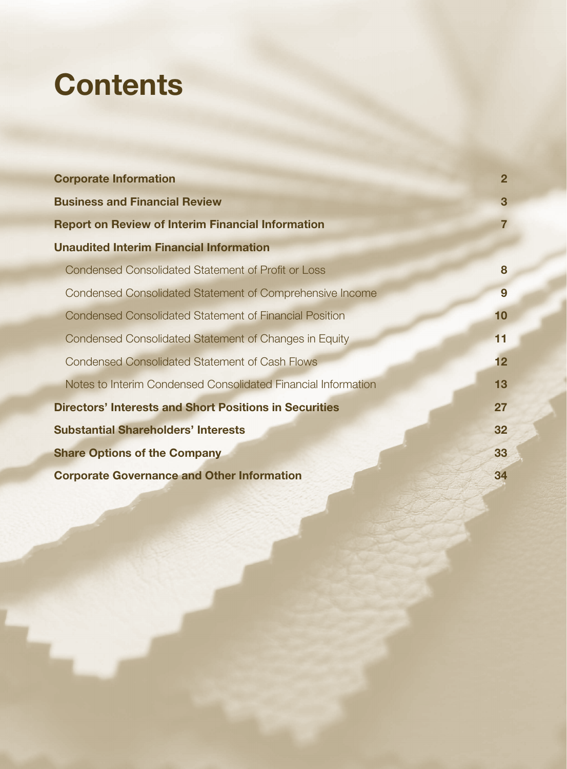# **Contents**

| <b>Corporate Information</b>                                  | $\overline{2}$  |
|---------------------------------------------------------------|-----------------|
| <b>Business and Financial Review</b>                          | $\mathbf{3}$    |
| <b>Report on Review of Interim Financial Information</b>      | $\overline{7}$  |
| <b>Unaudited Interim Financial Information</b>                |                 |
| <b>Condensed Consolidated Statement of Profit or Loss</b>     | 8               |
| Condensed Consolidated Statement of Comprehensive Income      | 9               |
| <b>Condensed Consolidated Statement of Financial Position</b> | 10              |
| Condensed Consolidated Statement of Changes in Equity         | 11              |
| <b>Condensed Consolidated Statement of Cash Flows</b>         | 12 <sub>2</sub> |
| Notes to Interim Condensed Consolidated Financial Information | 13              |
| <b>Directors' Interests and Short Positions in Securities</b> | 27              |
| <b>Substantial Shareholders' Interests</b>                    | 32              |
| <b>Share Options of the Company</b>                           | 33              |
| <b>Corporate Governance and Other Information</b>             | 34              |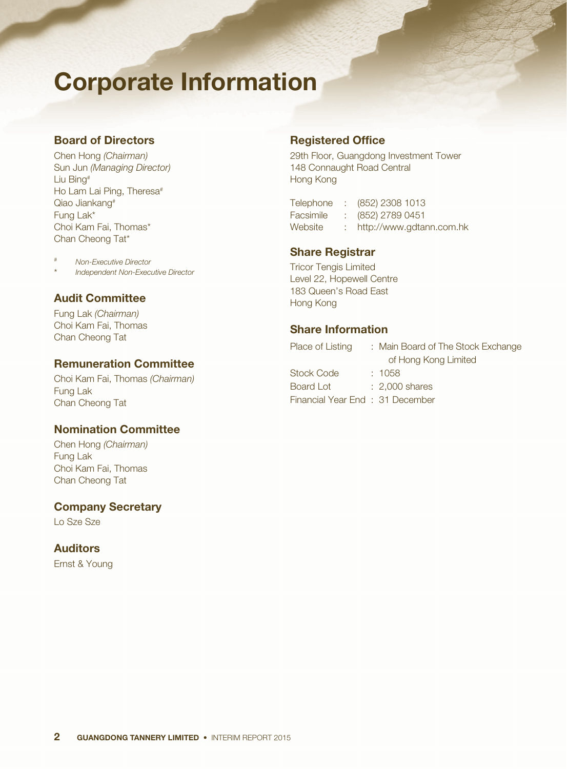# Corporate Information

# Board of Directors

Chen Hong *(Chairman)* Sun Jun *(Managing Director)* Liu Bing# Ho Lam Lai Ping, Theresa<sup>#</sup> Qiao Jiankang# Fung Lak\* Choi Kam Fai, Thomas\* Chan Cheong Tat\*

# *Non-Executive Director*

\* *Independent Non-Executive Director*

# Audit Committee

Fung Lak *(Chairman)* Choi Kam Fai, Thomas Chan Cheong Tat

## Remuneration Committee

Choi Kam Fai, Thomas *(Chairman)* Fung Lak Chan Cheong Tat

# Nomination Committee

Chen Hong *(Chairman)* Fung Lak Choi Kam Fai, Thomas Chan Cheong Tat

## Company Secretary

Lo Sze Sze

# Auditors

Ernst & Young

## Registered Office

29th Floor, Guangdong Investment Tower 148 Connaught Road Central Hong Kong

Telephone : (852) 2308 1013 Facsimile : (852) 2789 0451 Website : http://www.gdtann.com.hk

# Share Registrar

Tricor Tengis Limited Level 22, Hopewell Centre 183 Queen's Road East Hong Kong

## Share Information

| Place of Listing                | : Main Board of The Stock Exchange |
|---------------------------------|------------------------------------|
|                                 | of Hong Kong Limited               |
| <b>Stock Code</b>               | : 1058                             |
| Board Lot                       | $: 2.000$ shares                   |
| Financial Year End: 31 December |                                    |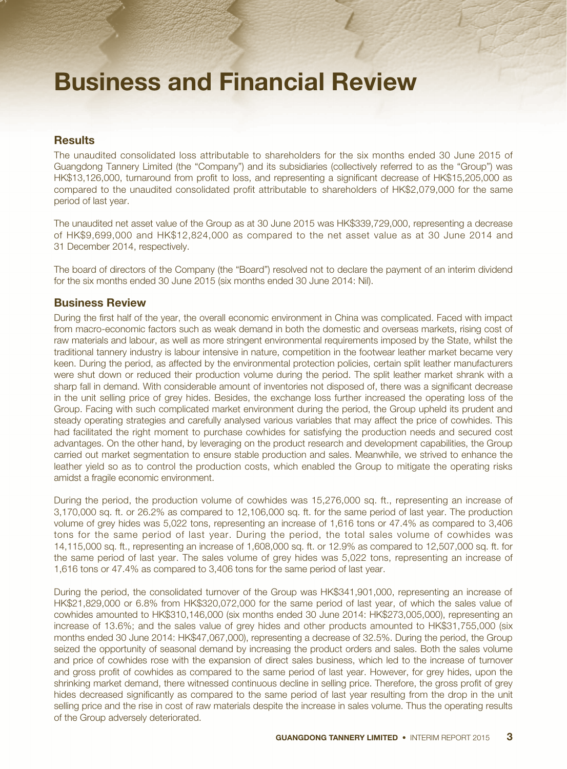# Business and Financial Review

## **Results**

The unaudited consolidated loss attributable to shareholders for the six months ended 30 June 2015 of Guangdong Tannery Limited (the "Company") and its subsidiaries (collectively referred to as the "Group") was HK\$13,126,000, turnaround from profit to loss, and representing a significant decrease of HK\$15,205,000 as compared to the unaudited consolidated profit attributable to shareholders of HK\$2,079,000 for the same period of last year.

The unaudited net asset value of the Group as at 30 June 2015 was HK\$339,729,000, representing a decrease of HK\$9,699,000 and HK\$12,824,000 as compared to the net asset value as at 30 June 2014 and 31 December 2014, respectively.

The board of directors of the Company (the "Board") resolved not to declare the payment of an interim dividend for the six months ended 30 June 2015 (six months ended 30 June 2014: Nil).

### Business Review

During the first half of the year, the overall economic environment in China was complicated. Faced with impact from macro-economic factors such as weak demand in both the domestic and overseas markets, rising cost of raw materials and labour, as well as more stringent environmental requirements imposed by the State, whilst the traditional tannery industry is labour intensive in nature, competition in the footwear leather market became very keen. During the period, as affected by the environmental protection policies, certain split leather manufacturers were shut down or reduced their production volume during the period. The split leather market shrank with a sharp fall in demand. With considerable amount of inventories not disposed of, there was a significant decrease in the unit selling price of grey hides. Besides, the exchange loss further increased the operating loss of the Group. Facing with such complicated market environment during the period, the Group upheld its prudent and steady operating strategies and carefully analysed various variables that may affect the price of cowhides. This had facilitated the right moment to purchase cowhides for satisfying the production needs and secured cost advantages. On the other hand, by leveraging on the product research and development capabilities, the Group carried out market segmentation to ensure stable production and sales. Meanwhile, we strived to enhance the leather yield so as to control the production costs, which enabled the Group to mitigate the operating risks amidst a fragile economic environment.

During the period, the production volume of cowhides was 15,276,000 sq. ft., representing an increase of 3,170,000 sq. ft. or 26.2% as compared to 12,106,000 sq. ft. for the same period of last year. The production volume of grey hides was 5,022 tons, representing an increase of 1,616 tons or 47.4% as compared to 3,406 tons for the same period of last year. During the period, the total sales volume of cowhides was 14,115,000 sq. ft., representing an increase of 1,608,000 sq. ft. or 12.9% as compared to 12,507,000 sq. ft. for the same period of last year. The sales volume of grey hides was 5,022 tons, representing an increase of 1,616 tons or 47.4% as compared to 3,406 tons for the same period of last year.

During the period, the consolidated turnover of the Group was HK\$341,901,000, representing an increase of HK\$21,829,000 or 6.8% from HK\$320,072,000 for the same period of last year, of which the sales value of cowhides amounted to HK\$310,146,000 (six months ended 30 June 2014: HK\$273,005,000), representing an increase of 13.6%; and the sales value of grey hides and other products amounted to HK\$31,755,000 (six months ended 30 June 2014: HK\$47,067,000), representing a decrease of 32.5%. During the period, the Group seized the opportunity of seasonal demand by increasing the product orders and sales. Both the sales volume and price of cowhides rose with the expansion of direct sales business, which led to the increase of turnover and gross profit of cowhides as compared to the same period of last year. However, for grey hides, upon the shrinking market demand, there witnessed continuous decline in selling price. Therefore, the gross profit of grey hides decreased significantly as compared to the same period of last year resulting from the drop in the unit selling price and the rise in cost of raw materials despite the increase in sales volume. Thus the operating results of the Group adversely deteriorated.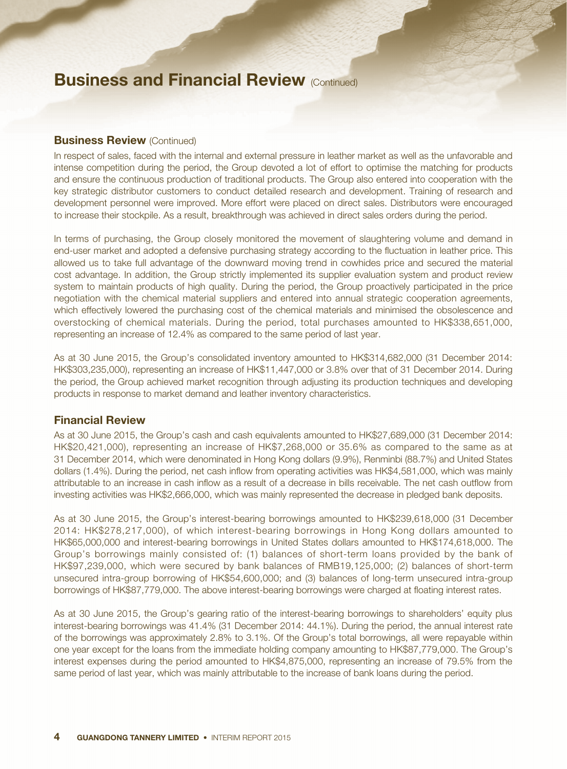# **Business and Financial Review (Continued)**

### **Business Review (Continued)**

In respect of sales, faced with the internal and external pressure in leather market as well as the unfavorable and intense competition during the period, the Group devoted a lot of effort to optimise the matching for products and ensure the continuous production of traditional products. The Group also entered into cooperation with the key strategic distributor customers to conduct detailed research and development. Training of research and development personnel were improved. More effort were placed on direct sales. Distributors were encouraged to increase their stockpile. As a result, breakthrough was achieved in direct sales orders during the period.

In terms of purchasing, the Group closely monitored the movement of slaughtering volume and demand in end-user market and adopted a defensive purchasing strategy according to the fluctuation in leather price. This allowed us to take full advantage of the downward moving trend in cowhides price and secured the material cost advantage. In addition, the Group strictly implemented its supplier evaluation system and product review system to maintain products of high quality. During the period, the Group proactively participated in the price negotiation with the chemical material suppliers and entered into annual strategic cooperation agreements, which effectively lowered the purchasing cost of the chemical materials and minimised the obsolescence and overstocking of chemical materials. During the period, total purchases amounted to HK\$338,651,000, representing an increase of 12.4% as compared to the same period of last year.

As at 30 June 2015, the Group's consolidated inventory amounted to HK\$314,682,000 (31 December 2014: HK\$303,235,000), representing an increase of HK\$11,447,000 or 3.8% over that of 31 December 2014. During the period, the Group achieved market recognition through adjusting its production techniques and developing products in response to market demand and leather inventory characteristics.

## Financial Review

As at 30 June 2015, the Group's cash and cash equivalents amounted to HK\$27,689,000 (31 December 2014: HK\$20,421,000), representing an increase of HK\$7,268,000 or 35.6% as compared to the same as at 31 December 2014, which were denominated in Hong Kong dollars (9.9%), Renminbi (88.7%) and United States dollars (1.4%). During the period, net cash inflow from operating activities was HK\$4,581,000, which was mainly attributable to an increase in cash inflow as a result of a decrease in bills receivable. The net cash outflow from investing activities was HK\$2,666,000, which was mainly represented the decrease in pledged bank deposits.

As at 30 June 2015, the Group's interest-bearing borrowings amounted to HK\$239,618,000 (31 December 2014: HK\$278,217,000), of which interest-bearing borrowings in Hong Kong dollars amounted to HK\$65,000,000 and interest-bearing borrowings in United States dollars amounted to HK\$174,618,000. The Group's borrowings mainly consisted of: (1) balances of short-term loans provided by the bank of HK\$97,239,000, which were secured by bank balances of RMB19,125,000; (2) balances of short-term unsecured intra-group borrowing of HK\$54,600,000; and (3) balances of long-term unsecured intra-group borrowings of HK\$87,779,000. The above interest-bearing borrowings were charged at floating interest rates.

As at 30 June 2015, the Group's gearing ratio of the interest-bearing borrowings to shareholders' equity plus interest-bearing borrowings was 41.4% (31 December 2014: 44.1%). During the period, the annual interest rate of the borrowings was approximately 2.8% to 3.1%. Of the Group's total borrowings, all were repayable within one year except for the loans from the immediate holding company amounting to HK\$87,779,000. The Group's interest expenses during the period amounted to HK\$4,875,000, representing an increase of 79.5% from the same period of last year, which was mainly attributable to the increase of bank loans during the period.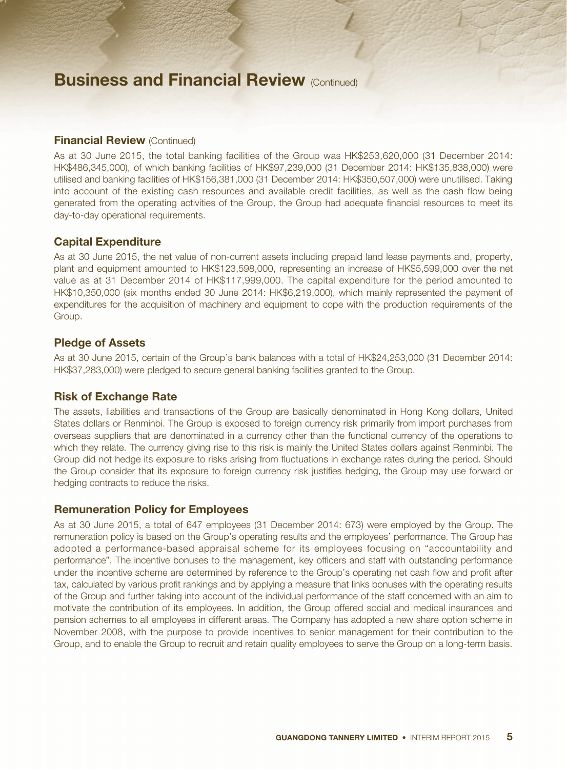# **Business and Financial Review (Continued)**

### **Financial Review (Continued)**

As at 30 June 2015, the total banking facilities of the Group was HK\$253,620,000 (31 December 2014: HK\$486,345,000), of which banking facilities of HK\$97,239,000 (31 December 2014: HK\$135,838,000) were utilised and banking facilities of HK\$156,381,000 (31 December 2014: HK\$350,507,000) were unutilised. Taking into account of the existing cash resources and available credit facilities, as well as the cash flow being generated from the operating activities of the Group, the Group had adequate financial resources to meet its day-to-day operational requirements.

### Capital Expenditure

As at 30 June 2015, the net value of non-current assets including prepaid land lease payments and, property, plant and equipment amounted to HK\$123,598,000, representing an increase of HK\$5,599,000 over the net value as at 31 December 2014 of HK\$117,999,000. The capital expenditure for the period amounted to HK\$10,350,000 (six months ended 30 June 2014: HK\$6,219,000), which mainly represented the payment of expenditures for the acquisition of machinery and equipment to cope with the production requirements of the Group.

### Pledge of Assets

As at 30 June 2015, certain of the Group's bank balances with a total of HK\$24,253,000 (31 December 2014: HK\$37,283,000) were pledged to secure general banking facilities granted to the Group.

### Risk of Exchange Rate

The assets, liabilities and transactions of the Group are basically denominated in Hong Kong dollars, United States dollars or Renminbi. The Group is exposed to foreign currency risk primarily from import purchases from overseas suppliers that are denominated in a currency other than the functional currency of the operations to which they relate. The currency giving rise to this risk is mainly the United States dollars against Renminbi. The Group did not hedge its exposure to risks arising from fluctuations in exchange rates during the period. Should the Group consider that its exposure to foreign currency risk justifies hedging, the Group may use forward or hedging contracts to reduce the risks.

#### Remuneration Policy for Employees

As at 30 June 2015, a total of 647 employees (31 December 2014: 673) were employed by the Group. The remuneration policy is based on the Group's operating results and the employees' performance. The Group has adopted a performance-based appraisal scheme for its employees focusing on "accountability and performance". The incentive bonuses to the management, key officers and staff with outstanding performance under the incentive scheme are determined by reference to the Group's operating net cash flow and profit after tax, calculated by various profit rankings and by applying a measure that links bonuses with the operating results of the Group and further taking into account of the individual performance of the staff concerned with an aim to motivate the contribution of its employees. In addition, the Group offered social and medical insurances and pension schemes to all employees in different areas. The Company has adopted a new share option scheme in November 2008, with the purpose to provide incentives to senior management for their contribution to the Group, and to enable the Group to recruit and retain quality employees to serve the Group on a long-term basis.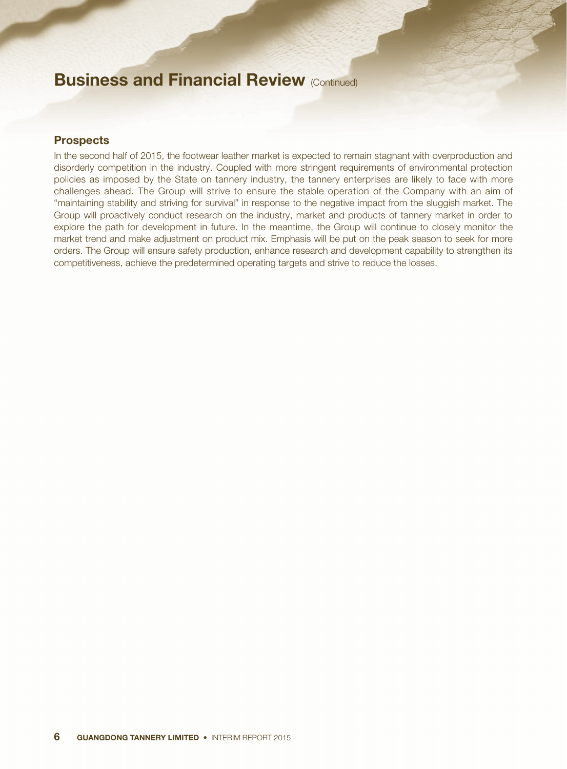# **Business and Financial Review (Continued)**

### **Prospects**

In the second half of 2015, the footwear leather market is expected to remain stagnant with overproduction and disorderly competition in the industry. Coupled with more stringent requirements of environmental protection policies as imposed by the State on tannery industry, the tannery enterprises are likely to face with more challenges ahead. The Group will strive to ensure the stable operation of the Company with an aim of "maintaining stability and striving for survival" in response to the negative impact from the sluggish market. The Group will proactively conduct research on the industry, market and products of tannery market in order to explore the path for development in future. In the meantime, the Group will continue to closely monitor the market trend and make adjustment on product mix. Emphasis will be put on the peak season to seek for more orders. The Group will ensure safety production, enhance research and development capability to strengthen its competitiveness, achieve the predetermined operating targets and strive to reduce the losses.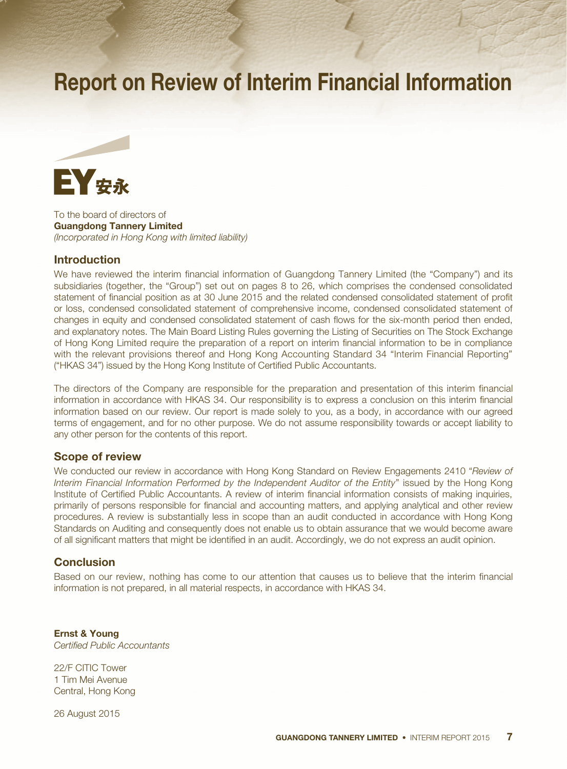# Report on Review of Interim Financial Information



To the board of directors of Guangdong Tannery Limited *(Incorporated in Hong Kong with limited liability)*

### **Introduction**

We have reviewed the interim financial information of Guangdong Tannery Limited (the "Company") and its subsidiaries (together, the "Group") set out on pages 8 to 26, which comprises the condensed consolidated statement of financial position as at 30 June 2015 and the related condensed consolidated statement of profit or loss, condensed consolidated statement of comprehensive income, condensed consolidated statement of changes in equity and condensed consolidated statement of cash flows for the six-month period then ended, and explanatory notes. The Main Board Listing Rules governing the Listing of Securities on The Stock Exchange of Hong Kong Limited require the preparation of a report on interim financial information to be in compliance with the relevant provisions thereof and Hong Kong Accounting Standard 34 "Interim Financial Reporting" ("HKAS 34") issued by the Hong Kong Institute of Certified Public Accountants.

The directors of the Company are responsible for the preparation and presentation of this interim financial information in accordance with HKAS 34. Our responsibility is to express a conclusion on this interim financial information based on our review. Our report is made solely to you, as a body, in accordance with our agreed terms of engagement, and for no other purpose. We do not assume responsibility towards or accept liability to any other person for the contents of this report.

### Scope of review

We conducted our review in accordance with Hong Kong Standard on Review Engagements 2410 "*Review of Interim Financial Information Performed by the Independent Auditor of the Entity*" issued by the Hong Kong Institute of Certified Public Accountants. A review of interim financial information consists of making inquiries, primarily of persons responsible for financial and accounting matters, and applying analytical and other review procedures. A review is substantially less in scope than an audit conducted in accordance with Hong Kong Standards on Auditing and consequently does not enable us to obtain assurance that we would become aware of all significant matters that might be identified in an audit. Accordingly, we do not express an audit opinion.

### **Conclusion**

Based on our review, nothing has come to our attention that causes us to believe that the interim financial information is not prepared, in all material respects, in accordance with HKAS 34.

Ernst & Young *Certified Public Accountants*

22/F CITIC Tower 1 Tim Mei Avenue Central, Hong Kong

26 August 2015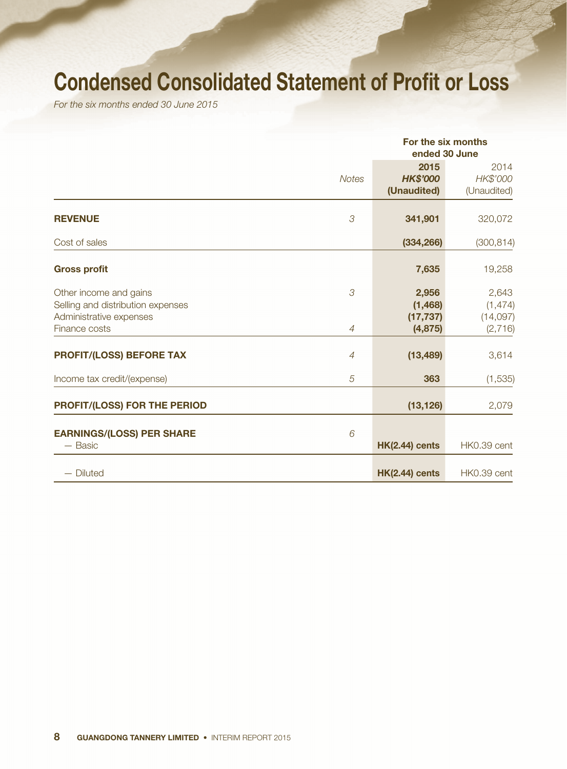# Condensed Consolidated Statement of Profit or Loss

*For the six months ended 30 June 2015*

|                                                                                                         |                     | For the six months<br>ended 30 June        |                                          |
|---------------------------------------------------------------------------------------------------------|---------------------|--------------------------------------------|------------------------------------------|
|                                                                                                         | <b>Notes</b>        | 2015<br><b>HK\$'000</b><br>(Unaudited)     | 2014<br>HK\$'000<br>(Unaudited)          |
| <b>REVENUE</b>                                                                                          | 3                   | 341,901                                    | 320,072                                  |
| Cost of sales                                                                                           |                     | (334, 266)                                 | (300, 814)                               |
| <b>Gross profit</b>                                                                                     |                     | 7,635                                      | 19,258                                   |
| Other income and gains<br>Selling and distribution expenses<br>Administrative expenses<br>Finance costs | 3<br>$\overline{4}$ | 2,956<br>(1, 468)<br>(17, 737)<br>(4, 875) | 2,643<br>(1, 474)<br>(14,097)<br>(2,716) |
| <b>PROFIT/(LOSS) BEFORE TAX</b>                                                                         | $\overline{4}$      | (13, 489)                                  | 3,614                                    |
| Income tax credit/(expense)                                                                             | 5                   | 363                                        | (1, 535)                                 |
| PROFIT/(LOSS) FOR THE PERIOD                                                                            |                     | (13, 126)                                  | 2,079                                    |
| <b>EARNINGS/(LOSS) PER SHARE</b><br>$-$ Basic                                                           | 6                   | <b>HK(2.44) cents</b>                      | HK0.39 cent                              |
| - Diluted                                                                                               |                     | <b>HK(2.44) cents</b>                      | HK0.39 cent                              |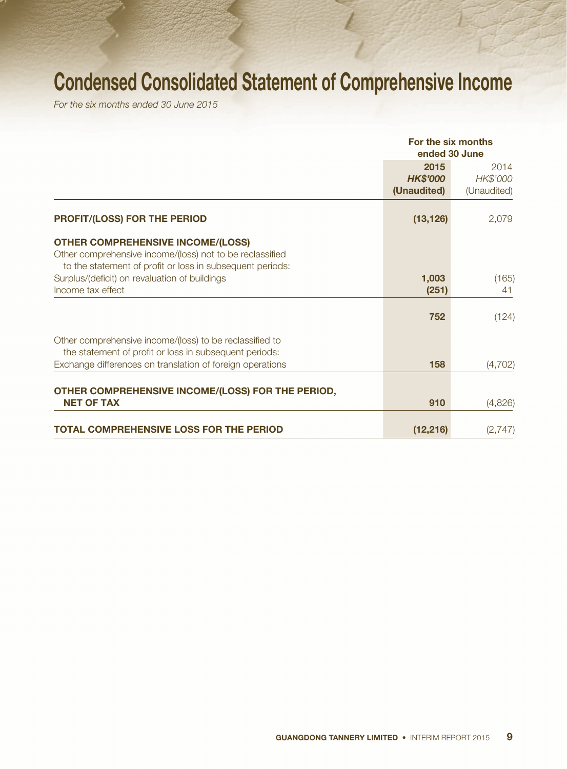# Condensed Consolidated Statement of Comprehensive Income

*For the six months ended 30 June 2015*

|                                                                                                                                                                   | For the six months<br>ended 30 June    |                                 |  |
|-------------------------------------------------------------------------------------------------------------------------------------------------------------------|----------------------------------------|---------------------------------|--|
|                                                                                                                                                                   | 2015<br><b>HK\$'000</b><br>(Unaudited) | 2014<br>HK\$'000<br>(Unaudited) |  |
| <b>PROFIT/(LOSS) FOR THE PERIOD</b>                                                                                                                               | (13, 126)                              | 2,079                           |  |
| <b>OTHER COMPREHENSIVE INCOME/(LOSS)</b><br>Other comprehensive income/(loss) not to be reclassified<br>to the statement of profit or loss in subsequent periods: |                                        |                                 |  |
| Surplus/(deficit) on revaluation of buildings<br>Income tax effect                                                                                                | 1,003<br>(251)                         | (165)<br>41                     |  |
|                                                                                                                                                                   | 752                                    | (124)                           |  |
| Other comprehensive income/(loss) to be reclassified to<br>the statement of profit or loss in subsequent periods:                                                 |                                        |                                 |  |
| Exchange differences on translation of foreign operations                                                                                                         | 158                                    | (4,702)                         |  |
| OTHER COMPREHENSIVE INCOME/(LOSS) FOR THE PERIOD,<br><b>NET OF TAX</b>                                                                                            | 910                                    | (4,826)                         |  |
| <b>TOTAL COMPREHENSIVE LOSS FOR THE PERIOD</b>                                                                                                                    | (12, 216)                              | (2,747)                         |  |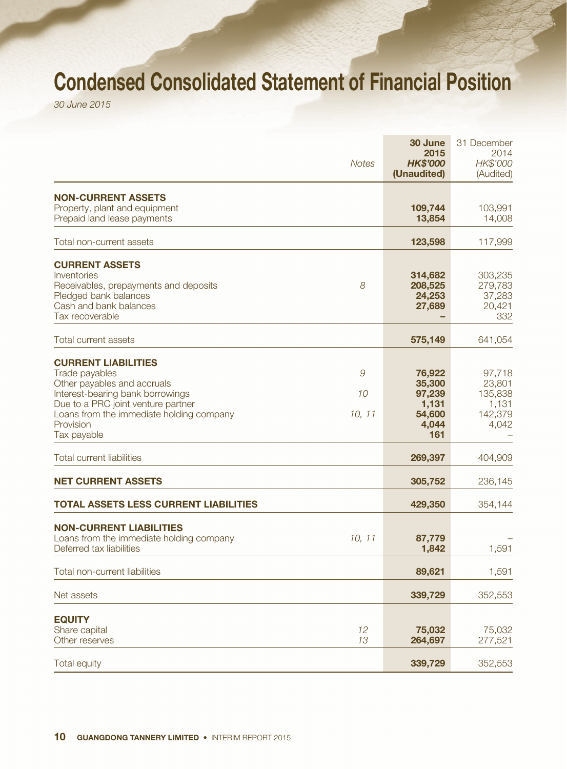# Condensed Consolidated Statement of Financial Position

*30 June 2015*

|                                                                                                                                                                                                                               | <b>Notes</b>      | 30 June<br>2015<br><b>HK\$'000</b><br>(Unaudited)             | 31 December<br>2014<br>HK\$'000<br>(Audited)             |
|-------------------------------------------------------------------------------------------------------------------------------------------------------------------------------------------------------------------------------|-------------------|---------------------------------------------------------------|----------------------------------------------------------|
| <b>NON-CURRENT ASSETS</b><br>Property, plant and equipment<br>Prepaid land lease payments                                                                                                                                     |                   | 109,744<br>13,854                                             | 103,991<br>14,008                                        |
| Total non-current assets                                                                                                                                                                                                      |                   | 123,598                                                       | 117,999                                                  |
| <b>CURRENT ASSETS</b><br>Inventories<br>Receivables, prepayments and deposits<br>Pledged bank balances<br>Cash and bank balances<br>Tax recoverable                                                                           | 8                 | 314,682<br>208,525<br>24,253<br>27,689                        | 303,235<br>279,783<br>37,283<br>20,421<br>332            |
| <b>Total current assets</b>                                                                                                                                                                                                   |                   | 575,149                                                       | 641,054                                                  |
| <b>CURRENT LIABILITIES</b><br>Trade payables<br>Other payables and accruals<br>Interest-bearing bank borrowings<br>Due to a PRC joint venture partner<br>Loans from the immediate holding company<br>Provision<br>Tax payable | 9<br>10<br>10, 11 | 76,922<br>35,300<br>97,239<br>1,131<br>54,600<br>4,044<br>161 | 97,718<br>23,801<br>135,838<br>1,131<br>142,379<br>4,042 |
| <b>Total current liabilities</b>                                                                                                                                                                                              |                   | 269,397                                                       | 404,909                                                  |
| <b>NET CURRENT ASSETS</b>                                                                                                                                                                                                     |                   | 305,752                                                       | 236,145                                                  |
| <b>TOTAL ASSETS LESS CURRENT LIABILITIES</b>                                                                                                                                                                                  |                   | 429,350                                                       | 354,144                                                  |
| <b>NON-CURRENT LIABILITIES</b><br>Loans from the immediate holding company<br>Deferred tax liabilities                                                                                                                        | 10, 11            | 87,779<br>1,842                                               | 1,591                                                    |
| Total non-current liabilities                                                                                                                                                                                                 |                   | 89,621                                                        | 1,591                                                    |
| Net assets                                                                                                                                                                                                                    |                   | 339,729                                                       | 352,553                                                  |
| <b>EQUITY</b><br>Share capital<br>Other reserves                                                                                                                                                                              | 12<br>13          | 75,032<br>264,697                                             | 75,032<br>277,521                                        |
| <b>Total equity</b>                                                                                                                                                                                                           |                   | 339,729                                                       | 352,553                                                  |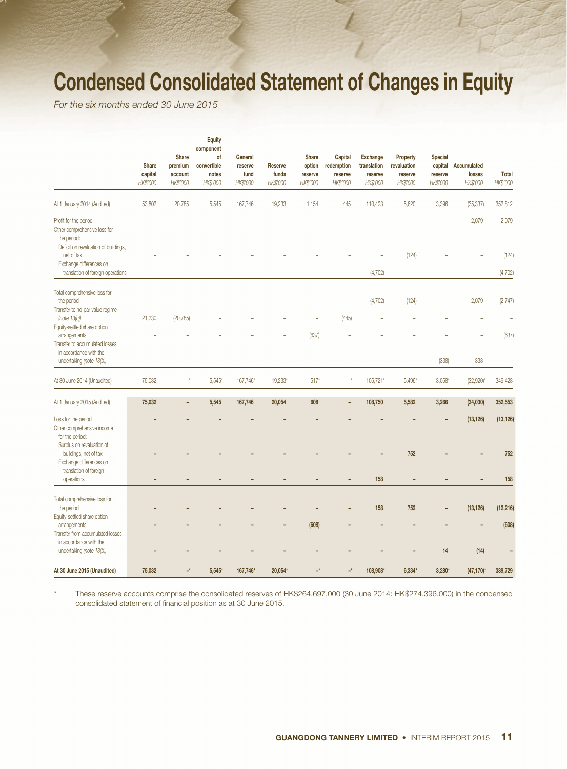# Condensed Consolidated Statement of Changes in Equity

*For the six months ended 30 June 2015*

|                                                                                                              | <b>Share</b><br>capital<br>HK\$'000 | <b>Share</b><br>premium<br>account<br>HK\$'000 | <b>Equity</b><br>component<br>of<br>convertible<br>notes<br>HK\$'000 | General<br>reserve<br>fund<br>HK\$'000 | <b>Reserve</b><br>funds<br>HK\$'000 | <b>Share</b><br>option<br>reserve<br>HK\$'000 | Capital<br>redemption<br>reserve<br>HK\$'000 | <b>Exchange</b><br>translation<br>reserve<br>HK\$'000 | Property<br>revaluation<br>reserve<br>HK\$'000 | <b>Special</b><br>capital<br>reserve<br>HK\$'000 | Accumulated<br>losses<br>HK\$'000 | <b>Total</b><br>HK\$'000 |
|--------------------------------------------------------------------------------------------------------------|-------------------------------------|------------------------------------------------|----------------------------------------------------------------------|----------------------------------------|-------------------------------------|-----------------------------------------------|----------------------------------------------|-------------------------------------------------------|------------------------------------------------|--------------------------------------------------|-----------------------------------|--------------------------|
| At 1 January 2014 (Audited)                                                                                  | 53,802                              | 20,785                                         | 5,545                                                                | 167,746                                | 19,233                              | 1,154                                         | 445                                          | 110,423                                               | 5,620                                          | 3,396                                            | (35, 337)                         | 352,812                  |
| Profit for the period<br>Other comprehensive loss for<br>the period:<br>Deficit on revaluation of buildings, |                                     |                                                |                                                                      |                                        |                                     |                                               |                                              |                                                       |                                                |                                                  | 2,079                             | 2,079                    |
| net of tax                                                                                                   |                                     |                                                |                                                                      |                                        |                                     |                                               |                                              |                                                       | (124)                                          |                                                  |                                   | (124)                    |
| Exchange differences on                                                                                      |                                     |                                                |                                                                      |                                        |                                     |                                               |                                              |                                                       |                                                |                                                  |                                   |                          |
| translation of foreign operations                                                                            |                                     |                                                |                                                                      |                                        |                                     |                                               |                                              | (4, 702)                                              |                                                |                                                  |                                   | (4, 702)                 |
| Total comprehensive loss for<br>the period                                                                   |                                     |                                                |                                                                      |                                        |                                     |                                               |                                              | (4, 702)                                              | (124)                                          |                                                  | 2,079                             | (2,747)                  |
| Transfer to no-par value regime<br>(note 13(c))                                                              | 21,230                              | (20, 785)                                      |                                                                      |                                        |                                     |                                               | (445)                                        |                                                       |                                                |                                                  |                                   |                          |
| Equity-settled share option                                                                                  |                                     |                                                |                                                                      |                                        |                                     |                                               |                                              |                                                       |                                                |                                                  |                                   |                          |
| arrangements<br>Transfer to accumulated losses<br>in accordance with the                                     |                                     |                                                |                                                                      |                                        |                                     | (637)                                         |                                              |                                                       |                                                |                                                  |                                   | (637)                    |
| undertaking (note 13(b))                                                                                     |                                     |                                                |                                                                      |                                        |                                     | ÷                                             |                                              |                                                       |                                                | (338)                                            | 338                               |                          |
| At 30 June 2014 (Unaudited)                                                                                  | 75.032                              | $\mathbb{L}^k$                                 | $5,545*$                                                             | 167,746*                               | 19,233*                             | $517*$                                        | $-^\star$                                    | 105,721*                                              | $5,496*$                                       | $3,058*$                                         | $(32,920)^*$                      | 349,428                  |
| At 1 January 2015 (Audited)                                                                                  | 75,032                              |                                                | 5,545                                                                | 167,746                                | 20,054                              | 608                                           | $\overline{\phantom{0}}$                     | 108,750                                               | 5,582                                          | 3,266                                            | (34,030)                          | 352,553                  |
| Loss for the period<br>Other comprehensive income<br>for the period:                                         |                                     |                                                |                                                                      |                                        |                                     |                                               |                                              |                                                       |                                                |                                                  | (13, 126)                         | (13, 126)                |
| Surplus on revaluation of<br>buildings, net of tax<br>Exchange differences on                                |                                     |                                                |                                                                      |                                        |                                     |                                               |                                              |                                                       | 752                                            |                                                  |                                   | 752                      |
| translation of foreign<br>operations                                                                         |                                     |                                                |                                                                      |                                        |                                     |                                               |                                              | 158                                                   |                                                |                                                  |                                   | 158                      |
|                                                                                                              |                                     |                                                |                                                                      |                                        |                                     |                                               |                                              |                                                       |                                                |                                                  |                                   |                          |
| Total comprehensive loss for<br>the period<br>Equity-settled share option                                    |                                     |                                                |                                                                      |                                        |                                     |                                               |                                              | 158                                                   | 752                                            |                                                  | (13, 126)                         | (12, 216)                |
| arrangements<br>Transfer from accumulated losses<br>in accordance with the                                   |                                     |                                                |                                                                      |                                        |                                     | (608)                                         |                                              |                                                       |                                                |                                                  |                                   | (608)                    |
| undertaking (note 13(b))                                                                                     | ٠                                   | $\overline{\phantom{0}}$                       | ٠                                                                    | -                                      | -                                   | ٠                                             | ٠                                            | ٠                                                     | $\overline{\phantom{0}}$                       | 14                                               | (14)                              | ÷                        |
| At 30 June 2015 (Unaudited)                                                                                  | 75,032                              | $\mathbf{r}^{\star}$                           | $5,545*$                                                             | 167,746*                               | 20,054*                             | $\overline{\phantom{a}}^{\star}$              | $\overline{\phantom{a}}^{\star}$             | 108,908*                                              | $6,334*$                                       | 3,280*                                           | $(47, 170)$ *                     | 339,729                  |

\* These reserve accounts comprise the consolidated reserves of HK\$264,697,000 (30 June 2014: HK\$274,396,000) in the condensed consolidated statement of financial position as at 30 June 2015.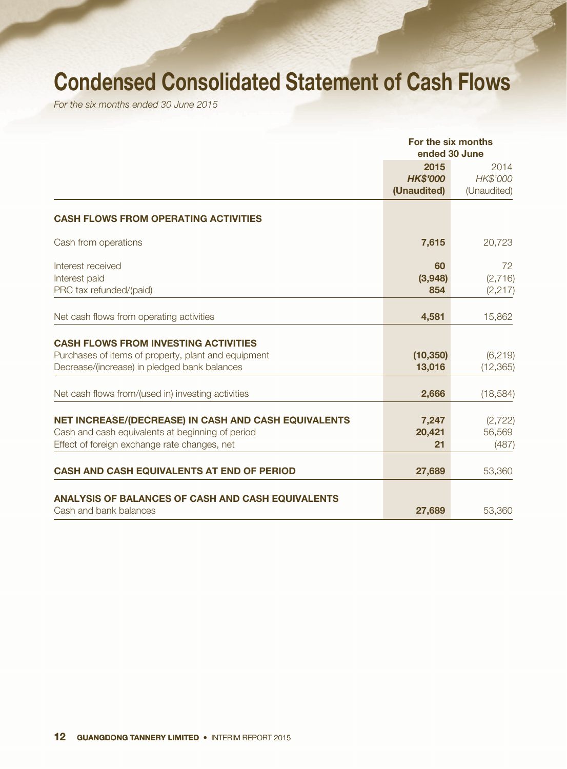# Condensed Consolidated Statement of Cash Flows

*For the six months ended 30 June 2015*

|                                                                                                                                                          | For the six months<br>ended 30 June    |                                 |  |
|----------------------------------------------------------------------------------------------------------------------------------------------------------|----------------------------------------|---------------------------------|--|
|                                                                                                                                                          | 2015<br><b>HK\$'000</b><br>(Unaudited) | 2014<br>HK\$'000<br>(Unaudited) |  |
| <b>CASH FLOWS FROM OPERATING ACTIVITIES</b>                                                                                                              |                                        |                                 |  |
| Cash from operations                                                                                                                                     | 7,615                                  | 20,723                          |  |
| Interest received<br>Interest paid<br>PRC tax refunded/(paid)                                                                                            | 60<br>(3,948)<br>854                   | 72<br>(2,716)<br>(2, 217)       |  |
| Net cash flows from operating activities                                                                                                                 | 4,581                                  | 15,862                          |  |
| <b>CASH FLOWS FROM INVESTING ACTIVITIES</b><br>Purchases of items of property, plant and equipment<br>Decrease/(increase) in pledged bank balances       | (10, 350)<br>13,016                    | (6, 219)<br>(12, 365)           |  |
| Net cash flows from/(used in) investing activities                                                                                                       | 2,666                                  | (18, 584)                       |  |
| NET INCREASE/(DECREASE) IN CASH AND CASH EQUIVALENTS<br>Cash and cash equivalents at beginning of period<br>Effect of foreign exchange rate changes, net | 7,247<br>20,421<br>21                  | (2, 722)<br>56,569<br>(487)     |  |
| <b>CASH AND CASH EQUIVALENTS AT END OF PERIOD</b>                                                                                                        | 27,689                                 | 53,360                          |  |
| <b>ANALYSIS OF BALANCES OF CASH AND CASH EQUIVALENTS</b><br>Cash and bank balances                                                                       | 27,689                                 | 53,360                          |  |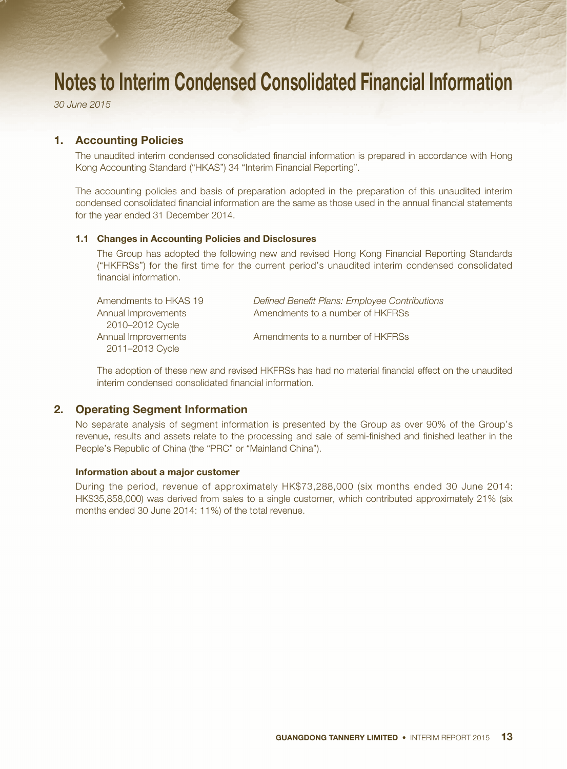*30 June 2015*

### 1. Accounting Policies

The unaudited interim condensed consolidated financial information is prepared in accordance with Hong Kong Accounting Standard ("HKAS") 34 "Interim Financial Reporting".

The accounting policies and basis of preparation adopted in the preparation of this unaudited interim condensed consolidated financial information are the same as those used in the annual financial statements for the year ended 31 December 2014.

#### 1.1 Changes in Accounting Policies and Disclosures

The Group has adopted the following new and revised Hong Kong Financial Reporting Standards ("HKFRSs") for the first time for the current period's unaudited interim condensed consolidated financial information.

| Amendments to HKAS 19 | Defined Benefit Plans: Employee Contributions |
|-----------------------|-----------------------------------------------|
| Annual Improvements   | Amendments to a number of HKFRSs              |
| 2010-2012 Cycle       |                                               |
| Annual Improvements   | Amendments to a number of HKFRSs              |
| 2011-2013 Cycle       |                                               |

The adoption of these new and revised HKFRSs has had no material financial effect on the unaudited interim condensed consolidated financial information.

## 2. Operating Segment Information

No separate analysis of segment information is presented by the Group as over 90% of the Group's revenue, results and assets relate to the processing and sale of semi-finished and finished leather in the People's Republic of China (the "PRC" or "Mainland China").

#### Information about a major customer

During the period, revenue of approximately HK\$73,288,000 (six months ended 30 June 2014: HK\$35,858,000) was derived from sales to a single customer, which contributed approximately 21% (six months ended 30 June 2014: 11%) of the total revenue.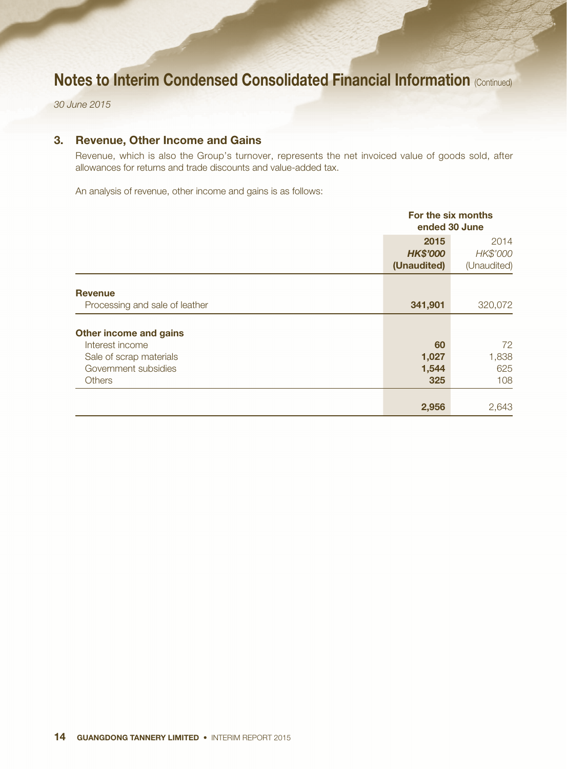*30 June 2015*

### 3. Revenue, Other Income and Gains

Revenue, which is also the Group's turnover, represents the net invoiced value of goods sold, after allowances for returns and trade discounts and value-added tax.

An analysis of revenue, other income and gains is as follows:

|                                                                  | For the six months<br>ended 30 June    |                                 |  |
|------------------------------------------------------------------|----------------------------------------|---------------------------------|--|
|                                                                  | 2015<br><b>HK\$'000</b><br>(Unaudited) | 2014<br>HK\$'000<br>(Unaudited) |  |
| <b>Revenue</b><br>Processing and sale of leather                 | 341,901                                | 320,072                         |  |
| <b>Other income and gains</b><br>Interest income                 | 60                                     | 72                              |  |
| Sale of scrap materials<br>Government subsidies<br><b>Others</b> | 1,027<br>1,544<br>325                  | 1,838<br>625<br>108             |  |
|                                                                  | 2,956                                  | 2,643                           |  |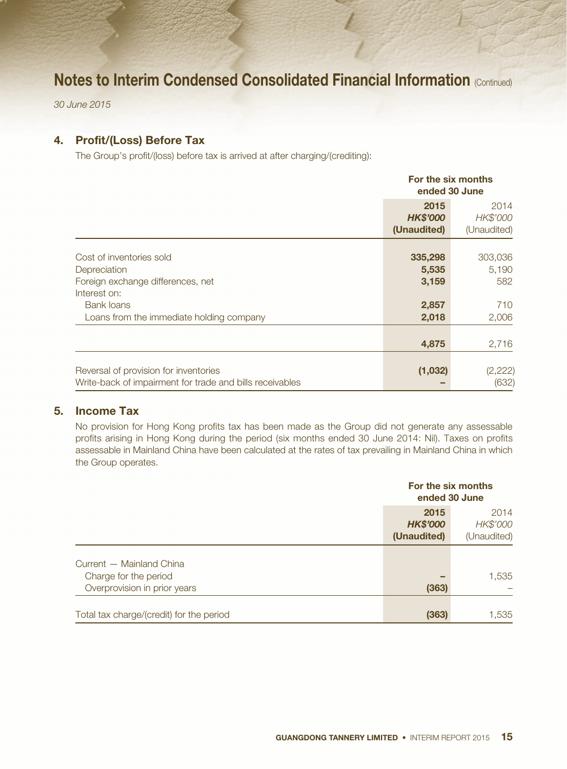*30 June 2015*

### 4. Profit/(Loss) Before Tax

The Group's profit/(loss) before tax is arrived at after charging/(crediting):

|                                                                                                                                                                | For the six months<br>ended 30 June         |                                         |  |
|----------------------------------------------------------------------------------------------------------------------------------------------------------------|---------------------------------------------|-----------------------------------------|--|
|                                                                                                                                                                | 2015<br><b>HK\$'000</b><br>(Unaudited)      | 2014<br>HK\$'000<br>(Unaudited)         |  |
| Cost of inventories sold<br>Depreciation<br>Foreign exchange differences, net<br>Interest on:<br><b>Bank loans</b><br>Loans from the immediate holding company | 335,298<br>5,535<br>3,159<br>2,857<br>2,018 | 303,036<br>5,190<br>582<br>710<br>2,006 |  |
|                                                                                                                                                                | 4,875                                       | 2,716                                   |  |
| Reversal of provision for inventories<br>Write-back of impairment for trade and bills receivables                                                              | (1,032)                                     | (2, 222)<br>(632)                       |  |

### 5. Income Tax

No provision for Hong Kong profits tax has been made as the Group did not generate any assessable profits arising in Hong Kong during the period (six months ended 30 June 2014: Nil). Taxes on profits assessable in Mainland China have been calculated at the rates of tax prevailing in Mainland China in which the Group operates.

|                                          | For the six months<br>ended 30 June |             |  |
|------------------------------------------|-------------------------------------|-------------|--|
|                                          | 2015                                | 2014        |  |
|                                          | <b>HK\$'000</b>                     | HK\$'000    |  |
|                                          | (Unaudited)                         | (Unaudited) |  |
| Current - Mainland China                 |                                     |             |  |
| Charge for the period                    |                                     | 1,535       |  |
| Overprovision in prior years             | (363)                               |             |  |
| Total tax charge/(credit) for the period | (363)                               | 1,535       |  |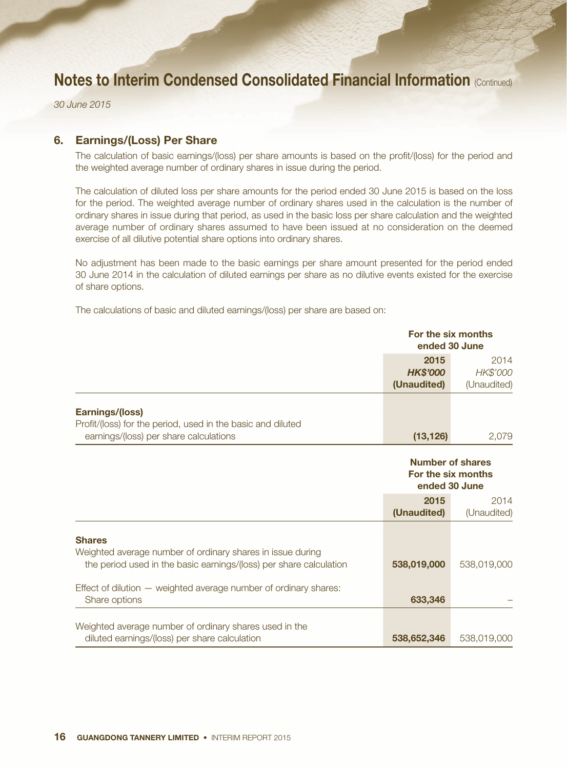*30 June 2015*

### 6. Earnings/(Loss) Per Share

The calculation of basic earnings/(loss) per share amounts is based on the profit/(loss) for the period and the weighted average number of ordinary shares in issue during the period.

The calculation of diluted loss per share amounts for the period ended 30 June 2015 is based on the loss for the period. The weighted average number of ordinary shares used in the calculation is the number of ordinary shares in issue during that period, as used in the basic loss per share calculation and the weighted average number of ordinary shares assumed to have been issued at no consideration on the deemed exercise of all dilutive potential share options into ordinary shares.

No adjustment has been made to the basic earnings per share amount presented for the period ended 30 June 2014 in the calculation of diluted earnings per share as no dilutive events existed for the exercise of share options.

The calculations of basic and diluted earnings/(loss) per share are based on:

|                                                                                                                                                                                                                                        | For the six months<br>ended 30 June                            |                                 |  |
|----------------------------------------------------------------------------------------------------------------------------------------------------------------------------------------------------------------------------------------|----------------------------------------------------------------|---------------------------------|--|
|                                                                                                                                                                                                                                        | 2015<br><b>HK\$'000</b><br>(Unaudited)                         | 2014<br>HK\$'000<br>(Unaudited) |  |
| <b>Earnings/(loss)</b><br>Profit/(loss) for the period, used in the basic and diluted<br>earnings/(loss) per share calculations                                                                                                        | (13, 126)                                                      | 2,079                           |  |
|                                                                                                                                                                                                                                        | <b>Number of shares</b><br>For the six months<br>ended 30 June |                                 |  |
|                                                                                                                                                                                                                                        | 2015<br>(Unaudited)                                            | 2014<br>(Unaudited)             |  |
| <b>Shares</b><br>Weighted average number of ordinary shares in issue during<br>the period used in the basic earnings/(loss) per share calculation<br>Effect of dilution - weighted average number of ordinary shares:<br>Share options | 538,019,000<br>633,346                                         | 538,019,000                     |  |
| Weighted average number of ordinary shares used in the<br>diluted earnings/(loss) per share calculation                                                                                                                                | 538,652,346                                                    | 538,019,000                     |  |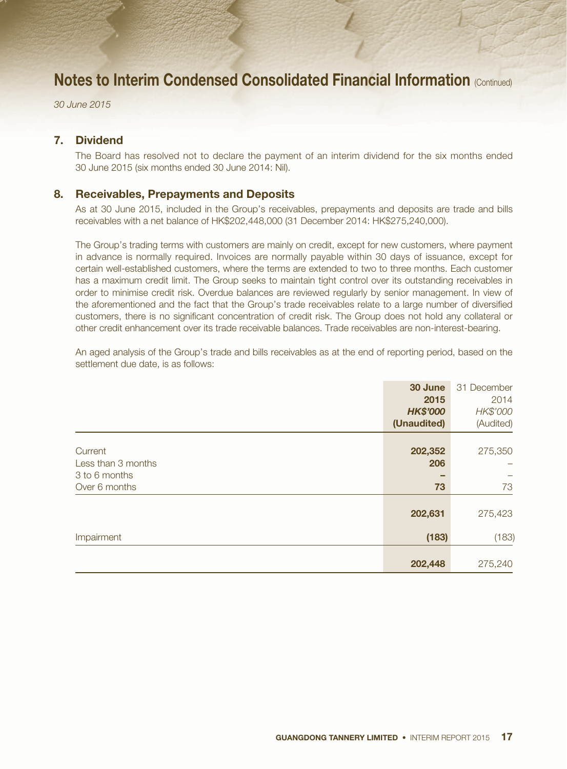*30 June 2015*

### 7. Dividend

The Board has resolved not to declare the payment of an interim dividend for the six months ended 30 June 2015 (six months ended 30 June 2014: Nil).

#### 8. Receivables, Prepayments and Deposits

As at 30 June 2015, included in the Group's receivables, prepayments and deposits are trade and bills receivables with a net balance of HK\$202,448,000 (31 December 2014: HK\$275,240,000).

The Group's trading terms with customers are mainly on credit, except for new customers, where payment in advance is normally required. Invoices are normally payable within 30 days of issuance, except for certain well-established customers, where the terms are extended to two to three months. Each customer has a maximum credit limit. The Group seeks to maintain tight control over its outstanding receivables in order to minimise credit risk. Overdue balances are reviewed regularly by senior management. In view of the aforementioned and the fact that the Group's trade receivables relate to a large number of diversified customers, there is no significant concentration of credit risk. The Group does not hold any collateral or other credit enhancement over its trade receivable balances. Trade receivables are non-interest-bearing.

An aged analysis of the Group's trade and bills receivables as at the end of reporting period, based on the settlement due date, is as follows:

|                    | 30 June         | 31 December |
|--------------------|-----------------|-------------|
|                    | 2015            | 2014        |
|                    | <b>HK\$'000</b> | HK\$'000    |
|                    | (Unaudited)     | (Audited)   |
|                    |                 |             |
| Current            | 202,352         | 275,350     |
| Less than 3 months | 206             |             |
| 3 to 6 months      | -               |             |
| Over 6 months      | 73              | 73          |
|                    |                 |             |
|                    | 202,631         | 275,423     |
| Impairment         | (183)           | (183)       |
|                    |                 |             |
|                    | 202,448         | 275,240     |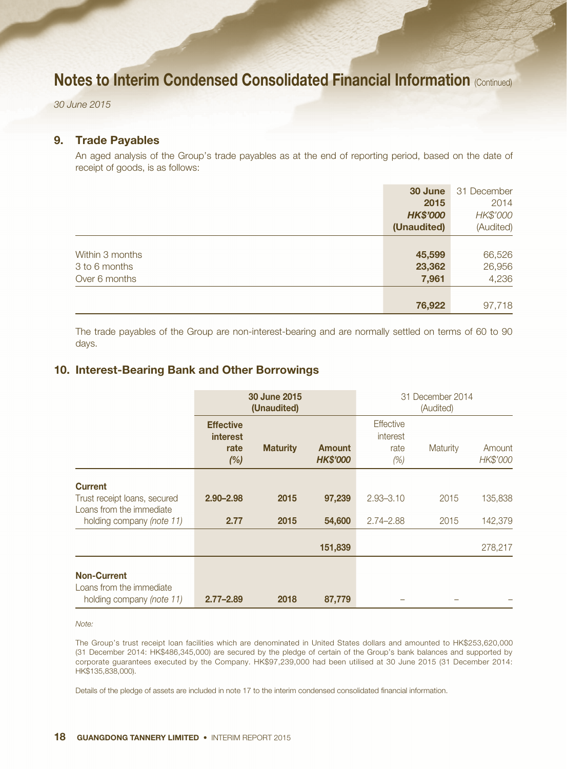*30 June 2015*

### 9. Trade Payables

An aged analysis of the Group's trade payables as at the end of reporting period, based on the date of receipt of goods, is as follows:

|                 | 30 June         | 31 December |
|-----------------|-----------------|-------------|
|                 | 2015            | 2014        |
|                 | <b>HK\$'000</b> | HK\$'000    |
|                 | (Unaudited)     | (Audited)   |
|                 |                 |             |
| Within 3 months | 45,599          | 66,526      |
| 3 to 6 months   | 23,362          | 26,956      |
| Over 6 months   | 7,961           | 4,236       |
|                 |                 |             |
|                 | 76,922          | 97,718      |

The trade payables of the Group are non-interest-bearing and are normally settled on terms of 60 to 90 days.

### 10. Interest-Bearing Bank and Other Borrowings

|                                                                             | 30 June 2015<br>(Unaudited)                        |                 | 31 December 2014<br>(Audited)    |                                             |          |                    |
|-----------------------------------------------------------------------------|----------------------------------------------------|-----------------|----------------------------------|---------------------------------------------|----------|--------------------|
|                                                                             | <b>Effective</b><br><b>interest</b><br>rate<br>(%) | <b>Maturity</b> | <b>Amount</b><br><b>HK\$'000</b> | <b>Effective</b><br>interest<br>rate<br>(%) | Maturity | Amount<br>HK\$'000 |
| <b>Current</b>                                                              |                                                    |                 |                                  |                                             |          |                    |
| Trust receipt loans, secured<br>Loans from the immediate                    | $2.90 - 2.98$                                      | 2015            | 97,239                           | $2.93 - 3.10$                               | 2015     | 135,838            |
| holding company (note 11)                                                   | 2.77                                               | 2015            | 54,600                           | $2.74 - 2.88$                               | 2015     | 142,379            |
|                                                                             |                                                    |                 | 151,839                          |                                             |          | 278,217            |
| <b>Non-Current</b><br>Loans from the immediate<br>holding company (note 11) | $2.77 - 2.89$                                      | 2018            | 87,779                           |                                             |          |                    |

*Note:*

The Group's trust receipt loan facilities which are denominated in United States dollars and amounted to HK\$253,620,000 (31 December 2014: HK\$486,345,000) are secured by the pledge of certain of the Group's bank balances and supported by corporate guarantees executed by the Company. HK\$97,239,000 had been utilised at 30 June 2015 (31 December 2014: HK\$135,838,000).

Details of the pledge of assets are included in note 17 to the interim condensed consolidated financial information.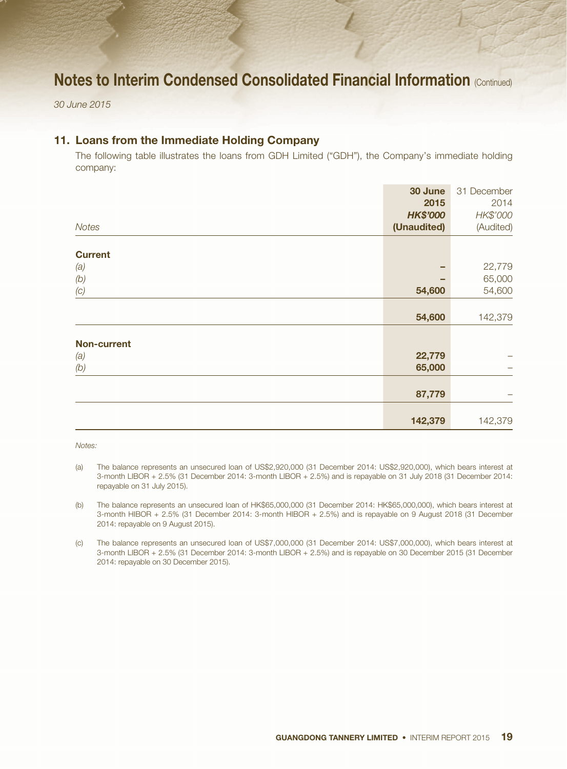*30 June 2015*

## 11. Loans from the Immediate Holding Company

The following table illustrates the loans from GDH Limited ("GDH"), the Company's immediate holding company:

|                    | 30 June         | 31 December |
|--------------------|-----------------|-------------|
|                    | 2015            | 2014        |
|                    | <b>HK\$'000</b> | HK\$'000    |
| Notes              | (Unaudited)     | (Audited)   |
|                    |                 |             |
| <b>Current</b>     |                 |             |
| (a)                |                 | 22,779      |
| (b)                |                 | 65,000      |
| (C)                | 54,600          | 54,600      |
|                    |                 |             |
|                    | 54,600          | 142,379     |
|                    |                 |             |
| <b>Non-current</b> |                 |             |
| (a)                | 22,779          |             |
| (b)                | 65,000          |             |
|                    |                 |             |
|                    | 87,779          |             |
|                    |                 |             |
|                    | 142,379         | 142,379     |

*Notes:*

- (a) The balance represents an unsecured loan of US\$2,920,000 (31 December 2014: US\$2,920,000), which bears interest at 3-month LIBOR + 2.5% (31 December 2014: 3-month LIBOR + 2.5%) and is repayable on 31 July 2018 (31 December 2014: repayable on 31 July 2015).
- (b) The balance represents an unsecured loan of HK\$65,000,000 (31 December 2014: HK\$65,000,000), which bears interest at 3-month HIBOR + 2.5% (31 December 2014: 3-month HIBOR + 2.5%) and is repayable on 9 August 2018 (31 December 2014: repayable on 9 August 2015).
- (c) The balance represents an unsecured loan of US\$7,000,000 (31 December 2014: US\$7,000,000), which bears interest at 3-month LIBOR + 2.5% (31 December 2014: 3-month LIBOR + 2.5%) and is repayable on 30 December 2015 (31 December 2014: repayable on 30 December 2015).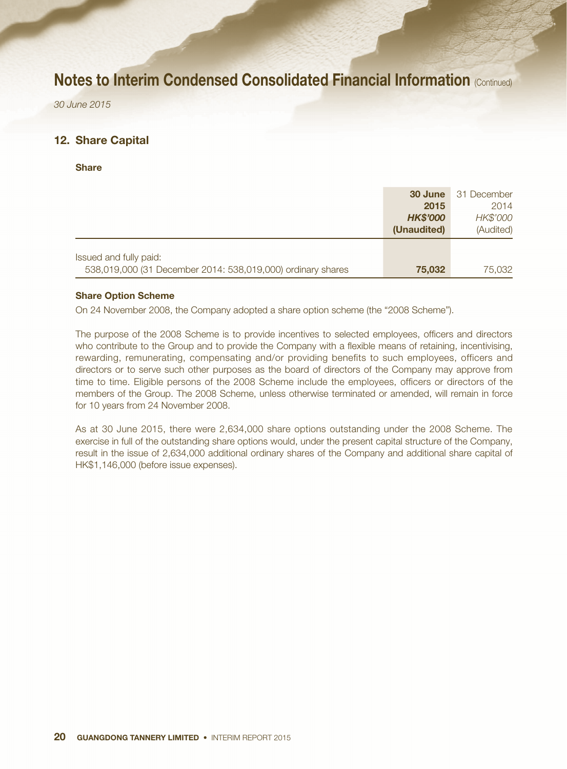*30 June 2015*

### 12. Share Capital

**Share** 

|                                                             | 30 June         | 31 December |
|-------------------------------------------------------------|-----------------|-------------|
|                                                             | 2015            | 2014        |
|                                                             | <b>HK\$'000</b> | HK\$'000    |
|                                                             | (Unaudited)     | (Audited)   |
|                                                             |                 |             |
| Issued and fully paid:                                      |                 |             |
| 538,019,000 (31 December 2014: 538,019,000) ordinary shares | 75,032          | 75,032      |

#### Share Option Scheme

On 24 November 2008, the Company adopted a share option scheme (the "2008 Scheme").

The purpose of the 2008 Scheme is to provide incentives to selected employees, officers and directors who contribute to the Group and to provide the Company with a flexible means of retaining, incentivising, rewarding, remunerating, compensating and/or providing benefits to such employees, officers and directors or to serve such other purposes as the board of directors of the Company may approve from time to time. Eligible persons of the 2008 Scheme include the employees, officers or directors of the members of the Group. The 2008 Scheme, unless otherwise terminated or amended, will remain in force for 10 years from 24 November 2008.

As at 30 June 2015, there were 2,634,000 share options outstanding under the 2008 Scheme. The exercise in full of the outstanding share options would, under the present capital structure of the Company, result in the issue of 2,634,000 additional ordinary shares of the Company and additional share capital of HK\$1,146,000 (before issue expenses).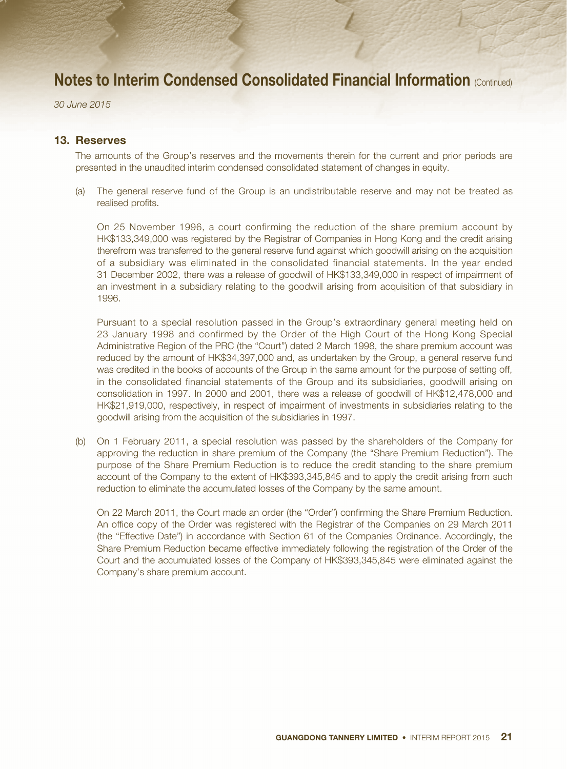*30 June 2015*

### 13. Reserves

The amounts of the Group's reserves and the movements therein for the current and prior periods are presented in the unaudited interim condensed consolidated statement of changes in equity.

(a) The general reserve fund of the Group is an undistributable reserve and may not be treated as realised profits.

On 25 November 1996, a court confirming the reduction of the share premium account by HK\$133,349,000 was registered by the Registrar of Companies in Hong Kong and the credit arising therefrom was transferred to the general reserve fund against which goodwill arising on the acquisition of a subsidiary was eliminated in the consolidated financial statements. In the year ended 31 December 2002, there was a release of goodwill of HK\$133,349,000 in respect of impairment of an investment in a subsidiary relating to the goodwill arising from acquisition of that subsidiary in 1996.

Pursuant to a special resolution passed in the Group's extraordinary general meeting held on 23 January 1998 and confirmed by the Order of the High Court of the Hong Kong Special Administrative Region of the PRC (the "Court") dated 2 March 1998, the share premium account was reduced by the amount of HK\$34,397,000 and, as undertaken by the Group, a general reserve fund was credited in the books of accounts of the Group in the same amount for the purpose of setting off, in the consolidated financial statements of the Group and its subsidiaries, goodwill arising on consolidation in 1997. In 2000 and 2001, there was a release of goodwill of HK\$12,478,000 and HK\$21,919,000, respectively, in respect of impairment of investments in subsidiaries relating to the goodwill arising from the acquisition of the subsidiaries in 1997.

(b) On 1 February 2011, a special resolution was passed by the shareholders of the Company for approving the reduction in share premium of the Company (the "Share Premium Reduction"). The purpose of the Share Premium Reduction is to reduce the credit standing to the share premium account of the Company to the extent of HK\$393,345,845 and to apply the credit arising from such reduction to eliminate the accumulated losses of the Company by the same amount.

On 22 March 2011, the Court made an order (the "Order") confirming the Share Premium Reduction. An office copy of the Order was registered with the Registrar of the Companies on 29 March 2011 (the "Effective Date") in accordance with Section 61 of the Companies Ordinance. Accordingly, the Share Premium Reduction became effective immediately following the registration of the Order of the Court and the accumulated losses of the Company of HK\$393,345,845 were eliminated against the Company's share premium account.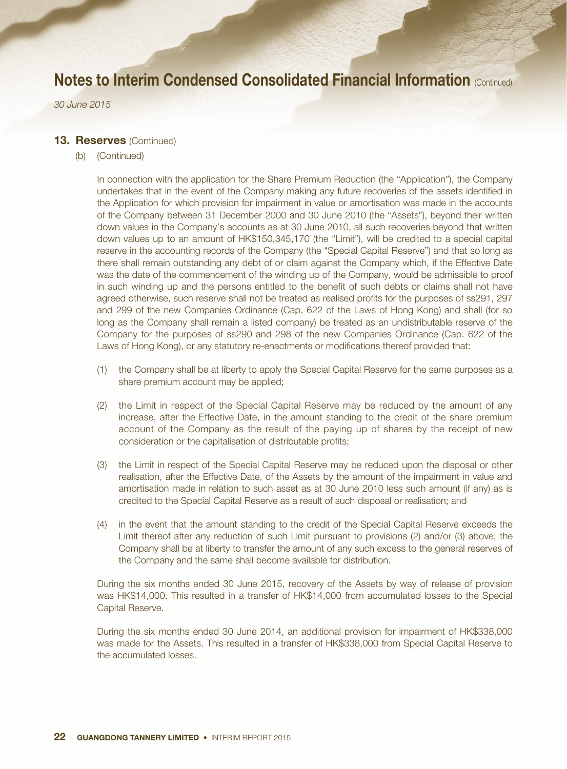*30 June 2015*

#### 13. Reserves (Continued)

(b) (Continued)

In connection with the application for the Share Premium Reduction (the "Application"), the Company undertakes that in the event of the Company making any future recoveries of the assets identified in the Application for which provision for impairment in value or amortisation was made in the accounts of the Company between 31 December 2000 and 30 June 2010 (the "Assets"), beyond their written down values in the Company's accounts as at 30 June 2010, all such recoveries beyond that written down values up to an amount of HK\$150,345,170 (the "Limit"), will be credited to a special capital reserve in the accounting records of the Company (the "Special Capital Reserve") and that so long as there shall remain outstanding any debt of or claim against the Company which, if the Effective Date was the date of the commencement of the winding up of the Company, would be admissible to proof in such winding up and the persons entitled to the benefit of such debts or claims shall not have agreed otherwise, such reserve shall not be treated as realised profits for the purposes of ss291, 297 and 299 of the new Companies Ordinance (Cap. 622 of the Laws of Hong Kong) and shall (for so long as the Company shall remain a listed company) be treated as an undistributable reserve of the Company for the purposes of ss290 and 298 of the new Companies Ordinance (Cap. 622 of the Laws of Hong Kong), or any statutory re-enactments or modifications thereof provided that:

- (1) the Company shall be at liberty to apply the Special Capital Reserve for the same purposes as a share premium account may be applied;
- (2) the Limit in respect of the Special Capital Reserve may be reduced by the amount of any increase, after the Effective Date, in the amount standing to the credit of the share premium account of the Company as the result of the paying up of shares by the receipt of new consideration or the capitalisation of distributable profits;
- (3) the Limit in respect of the Special Capital Reserve may be reduced upon the disposal or other realisation, after the Effective Date, of the Assets by the amount of the impairment in value and amortisation made in relation to such asset as at 30 June 2010 less such amount (if any) as is credited to the Special Capital Reserve as a result of such disposal or realisation; and
- (4) in the event that the amount standing to the credit of the Special Capital Reserve exceeds the Limit thereof after any reduction of such Limit pursuant to provisions (2) and/or (3) above, the Company shall be at liberty to transfer the amount of any such excess to the general reserves of the Company and the same shall become available for distribution.

During the six months ended 30 June 2015, recovery of the Assets by way of release of provision was HK\$14,000. This resulted in a transfer of HK\$14,000 from accumulated losses to the Special Capital Reserve.

During the six months ended 30 June 2014, an additional provision for impairment of HK\$338,000 was made for the Assets. This resulted in a transfer of HK\$338,000 from Special Capital Reserve to the accumulated losses.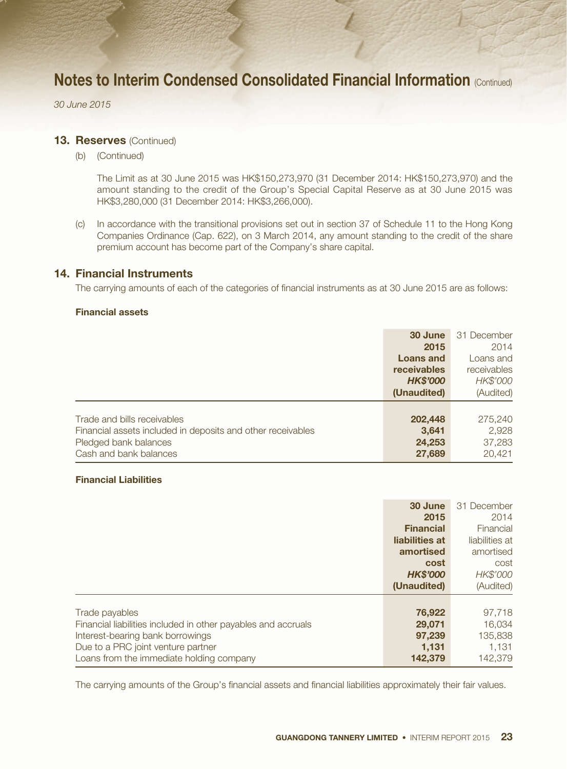*30 June 2015*

#### **13. Reserves (Continued)**

(b) (Continued)

The Limit as at 30 June 2015 was HK\$150,273,970 (31 December 2014: HK\$150,273,970) and the amount standing to the credit of the Group's Special Capital Reserve as at 30 June 2015 was HK\$3,280,000 (31 December 2014: HK\$3,266,000).

(c) In accordance with the transitional provisions set out in section 37 of Schedule 11 to the Hong Kong Companies Ordinance (Cap. 622), on 3 March 2014, any amount standing to the credit of the share premium account has become part of the Company's share capital.

### 14. Financial Instruments

The carrying amounts of each of the categories of financial instruments as at 30 June 2015 are as follows:

#### Financial assets

|                                                             | 30 June          | 31 December |
|-------------------------------------------------------------|------------------|-------------|
|                                                             | 2015             | 2014        |
|                                                             | <b>Loans and</b> | Loans and   |
|                                                             | receivables      | receivables |
|                                                             | <b>HK\$'000</b>  | HK\$'000    |
|                                                             | (Unaudited)      | (Audited)   |
|                                                             |                  |             |
| Trade and bills receivables                                 | 202,448          | 275,240     |
| Financial assets included in deposits and other receivables | 3,641            | 2,928       |
| Pledged bank balances                                       | 24,253           | 37,283      |
| Cash and bank balances                                      | 27,689           | 20,421      |

#### Financial Liabilities

|                                                               | 30 June          | 31 December    |
|---------------------------------------------------------------|------------------|----------------|
|                                                               | 2015             | 2014           |
|                                                               | <b>Financial</b> | Financial      |
|                                                               | liabilities at   | liabilities at |
|                                                               | amortised        | amortised      |
|                                                               | cost             | cost           |
|                                                               | <b>HK\$'000</b>  | HK\$'000       |
|                                                               | (Unaudited)      | (Audited)      |
|                                                               |                  |                |
| Trade payables                                                | 76,922           | 97,718         |
| Financial liabilities included in other payables and accruals | 29,071           | 16,034         |
| Interest-bearing bank borrowings                              | 97,239           | 135,838        |
| Due to a PRC joint venture partner                            | 1,131            | 1,131          |
| Loans from the immediate holding company                      | 142,379          | 142.379        |

The carrying amounts of the Group's financial assets and financial liabilities approximately their fair values.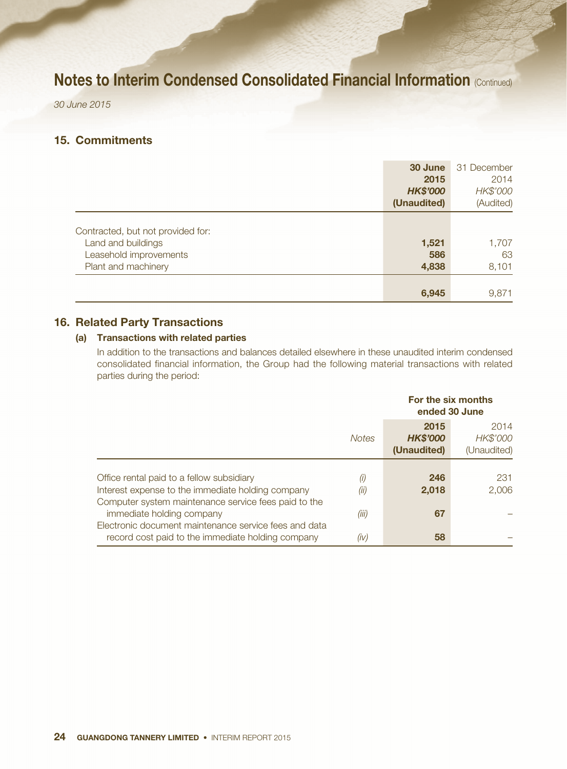*30 June 2015*

## 15. Commitments

|                                   | 30 June         | 31 December |
|-----------------------------------|-----------------|-------------|
|                                   | 2015            | 2014        |
|                                   | <b>HK\$'000</b> | HK\$'000    |
|                                   | (Unaudited)     | (Audited)   |
|                                   |                 |             |
| Contracted, but not provided for: |                 |             |
| Land and buildings                | 1,521           | 1,707       |
| Leasehold improvements            | 586             | 63          |
| Plant and machinery               | 4,838           | 8,101       |
|                                   |                 |             |
|                                   | 6,945           | 9,871       |

## 16. Related Party Transactions

### (a) Transactions with related parties

In addition to the transactions and balances detailed elsewhere in these unaudited interim condensed consolidated financial information, the Group had the following material transactions with related parties during the period:

|                                                       |              | For the six months<br>ended 30 June    |                                 |  |
|-------------------------------------------------------|--------------|----------------------------------------|---------------------------------|--|
|                                                       | <b>Notes</b> | 2015<br><b>HK\$'000</b><br>(Unaudited) | 2014<br>HK\$'000<br>(Unaudited) |  |
|                                                       |              |                                        |                                 |  |
| Office rental paid to a fellow subsidiary             | (i)          | 246                                    | 231                             |  |
| Interest expense to the immediate holding company     | (ii)         | 2,018                                  | 2,006                           |  |
| Computer system maintenance service fees paid to the  |              |                                        |                                 |  |
| immediate holding company                             | (iii)        | 67                                     |                                 |  |
| Electronic document maintenance service fees and data |              |                                        |                                 |  |
| record cost paid to the immediate holding company     | (iv)         | 58                                     |                                 |  |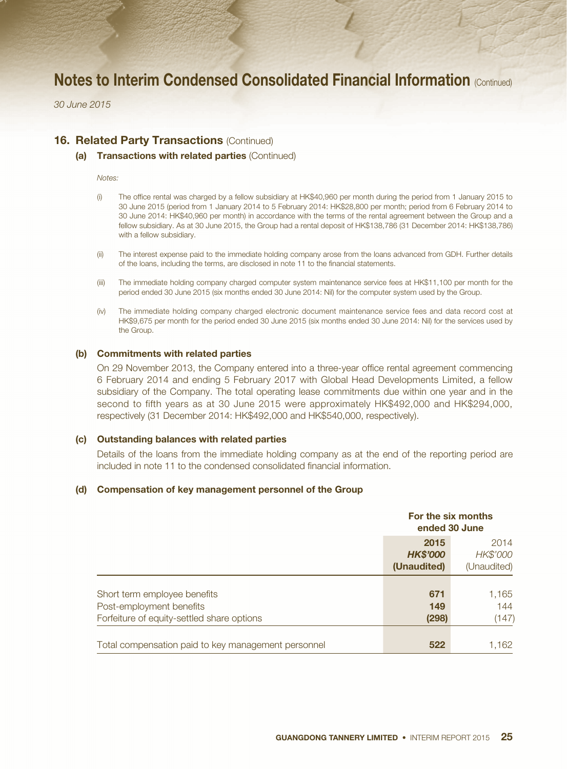*30 June 2015*

### **16. Related Party Transactions (Continued)**

#### (a) Transactions with related parties (Continued)

#### *Notes:*

- (i) The office rental was charged by a fellow subsidiary at HK\$40,960 per month during the period from 1 January 2015 to 30 June 2015 (period from 1 January 2014 to 5 February 2014: HK\$28,800 per month; period from 6 February 2014 to 30 June 2014: HK\$40,960 per month) in accordance with the terms of the rental agreement between the Group and a fellow subsidiary. As at 30 June 2015, the Group had a rental deposit of HK\$138,786 (31 December 2014: HK\$138,786) with a fellow subsidiary.
- (ii) The interest expense paid to the immediate holding company arose from the loans advanced from GDH. Further details of the loans, including the terms, are disclosed in note 11 to the financial statements.
- (iii) The immediate holding company charged computer system maintenance service fees at HK\$11,100 per month for the period ended 30 June 2015 (six months ended 30 June 2014: Nil) for the computer system used by the Group.
- (iv) The immediate holding company charged electronic document maintenance service fees and data record cost at HK\$9,675 per month for the period ended 30 June 2015 (six months ended 30 June 2014: Nil) for the services used by the Group.

#### (b) Commitments with related parties

On 29 November 2013, the Company entered into a three-year office rental agreement commencing 6 February 2014 and ending 5 February 2017 with Global Head Developments Limited, a fellow subsidiary of the Company. The total operating lease commitments due within one year and in the second to fifth years as at 30 June 2015 were approximately HK\$492,000 and HK\$294,000, respectively (31 December 2014: HK\$492,000 and HK\$540,000, respectively).

#### (c) Outstanding balances with related parties

Details of the loans from the immediate holding company as at the end of the reporting period are included in note 11 to the condensed consolidated financial information.

#### (d) Compensation of key management personnel of the Group

|                                                                                                        | For the six months<br>ended 30 June    |                                 |
|--------------------------------------------------------------------------------------------------------|----------------------------------------|---------------------------------|
|                                                                                                        | 2015<br><b>HK\$'000</b><br>(Unaudited) | 2014<br>HK\$'000<br>(Unaudited) |
| Short term employee benefits<br>Post-employment benefits<br>Forfeiture of equity-settled share options | 671<br>149<br>(298)                    | 1,165<br>144<br>(147)           |
| Total compensation paid to key management personnel                                                    | 522                                    | 1,162                           |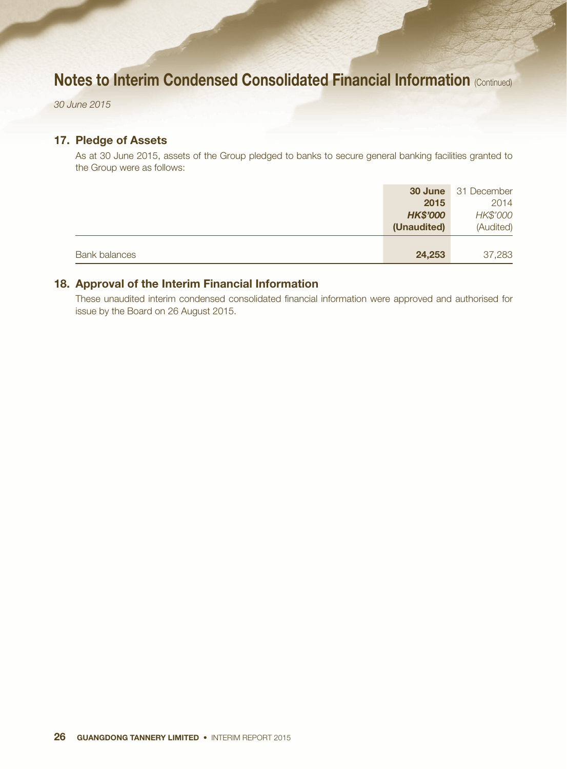*30 June 2015*

## 17. Pledge of Assets

As at 30 June 2015, assets of the Group pledged to banks to secure general banking facilities granted to the Group were as follows:

|                      |                 | <b>30 June</b> 31 December |
|----------------------|-----------------|----------------------------|
|                      | 2015            | 2014                       |
|                      | <b>HK\$'000</b> | HK\$'000                   |
|                      | (Unaudited)     | (Audited)                  |
|                      |                 |                            |
| <b>Bank balances</b> | 24,253          | 37,283                     |

## 18. Approval of the Interim Financial Information

These unaudited interim condensed consolidated financial information were approved and authorised for issue by the Board on 26 August 2015.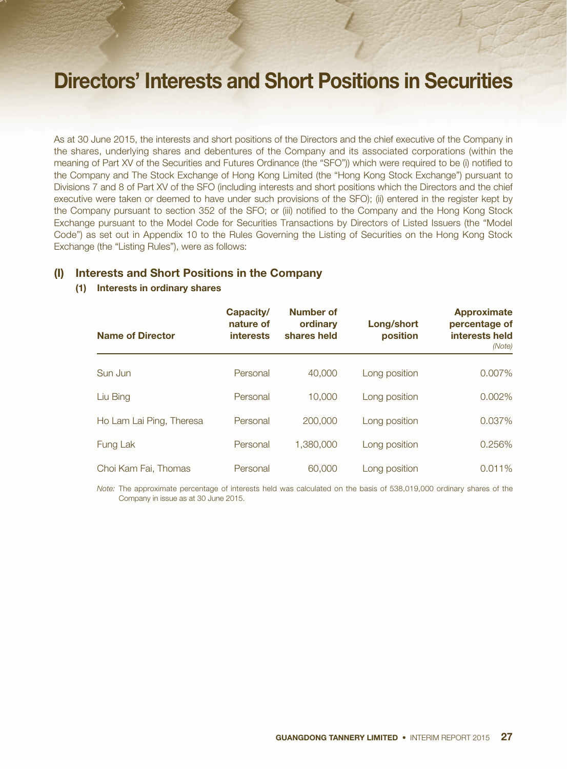# Directors' Interests and Short Positions in Securities

As at 30 June 2015, the interests and short positions of the Directors and the chief executive of the Company in the shares, underlying shares and debentures of the Company and its associated corporations (within the meaning of Part XV of the Securities and Futures Ordinance (the "SFO")) which were required to be (i) notified to the Company and The Stock Exchange of Hong Kong Limited (the "Hong Kong Stock Exchange") pursuant to Divisions 7 and 8 of Part XV of the SFO (including interests and short positions which the Directors and the chief executive were taken or deemed to have under such provisions of the SFO); (ii) entered in the register kept by the Company pursuant to section 352 of the SFO; or (iii) notified to the Company and the Hong Kong Stock Exchange pursuant to the Model Code for Securities Transactions by Directors of Listed Issuers (the "Model Code") as set out in Appendix 10 to the Rules Governing the Listing of Securities on the Hong Kong Stock Exchange (the "Listing Rules"), were as follows:

### (I) Interests and Short Positions in the Company

### (1) Interests in ordinary shares

| <b>Name of Director</b>  | Capacity/<br>nature of<br><b>interests</b> | Number of<br>ordinary<br>shares held | Long/short<br>position | <b>Approximate</b><br>percentage of<br>interests held<br>(Note) |
|--------------------------|--------------------------------------------|--------------------------------------|------------------------|-----------------------------------------------------------------|
| Sun Jun                  | Personal                                   | 40,000                               | Long position          | 0.007%                                                          |
| Liu Bing                 | Personal                                   | 10,000                               | Long position          | 0.002%                                                          |
| Ho Lam Lai Ping, Theresa | Personal                                   | 200,000                              | Long position          | 0.037%                                                          |
| Fung Lak                 | Personal                                   | 1,380,000                            | Long position          | 0.256%                                                          |
| Choi Kam Fai, Thomas     | Personal                                   | 60,000                               | Long position          | 0.011%                                                          |

*Note:* The approximate percentage of interests held was calculated on the basis of 538,019,000 ordinary shares of the Company in issue as at 30 June 2015.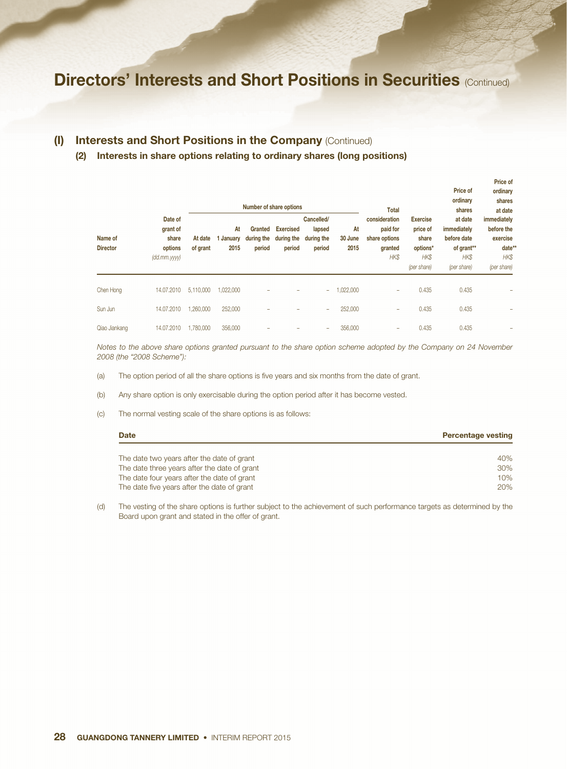## (I) Interests and Short Positions in the Company (Continued)

#### (2) Interests in share options relating to ordinary shares (long positions)

|                            | Date of<br>grant of<br>share<br>options<br>(dd.mm.yyy) |                     | Number of share options |                                 |                                          |                                              |                       | <b>Total</b>                                                  |                                                                               | Price of<br>ordinary<br>shares                                             | ordinary<br>shares<br>at date                                          |
|----------------------------|--------------------------------------------------------|---------------------|-------------------------|---------------------------------|------------------------------------------|----------------------------------------------|-----------------------|---------------------------------------------------------------|-------------------------------------------------------------------------------|----------------------------------------------------------------------------|------------------------------------------------------------------------|
| Name of<br><b>Director</b> |                                                        | At date<br>of grant | At<br>1 January<br>2015 | Granted<br>during the<br>period | <b>Exercised</b><br>during the<br>period | Cancelled/<br>lapsed<br>during the<br>period | At<br>30 June<br>2015 | consideration<br>paid for<br>share options<br>granted<br>HK\$ | <b>Exercise</b><br>price of<br>share<br>options*<br><b>HKS</b><br>(per share) | at date<br>immediately<br>before date<br>of grant**<br>HK\$<br>(per share) | immediately<br>before the<br>exercise<br>date**<br>HK\$<br>(per share) |
| Chen Hong                  | 14.07.2010                                             | 5,110,000           | 1.022.000               |                                 |                                          | ÷                                            | 1,022,000             | $\overline{\phantom{a}}$                                      | 0.435                                                                         | 0.435                                                                      |                                                                        |
| Sun Jun                    | 14.07.2010                                             | 1.260.000           | 252,000                 |                                 |                                          | -                                            | 252,000               | $\overline{\phantom{a}}$                                      | 0.435                                                                         | 0.435                                                                      |                                                                        |
| Qiao Jiankang              | 14.07.2010                                             | 1.780.000           | 356,000                 |                                 |                                          | -                                            | 356,000               | $\overline{\phantom{a}}$                                      | 0.435                                                                         | 0.435                                                                      |                                                                        |

Price of

*Notes to the above share options granted pursuant to the share option scheme adopted by the Company on 24 November 2008 (the "2008 Scheme"):*

- (a) The option period of all the share options is five years and six months from the date of grant.
- (b) Any share option is only exercisable during the option period after it has become vested.
- (c) The normal vesting scale of the share options is as follows:

| <b>Date</b>                                  | <b>Percentage vesting</b> |
|----------------------------------------------|---------------------------|
| The date two years after the date of grant   | 40%                       |
| The date three years after the date of grant | 30%                       |
| The date four years after the date of grant  | 10%                       |
| The date five years after the date of grant  | 20%                       |

(d) The vesting of the share options is further subject to the achievement of such performance targets as determined by the Board upon grant and stated in the offer of grant.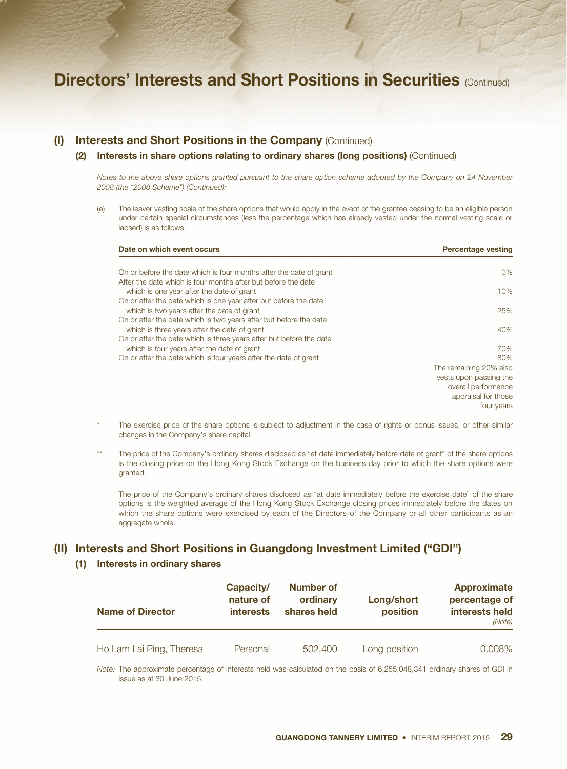#### (I) Interests and Short Positions in the Company (Continued)

#### (2) Interests in share options relating to ordinary shares (long positions) (Continued)

*Notes to the above share options granted pursuant to the share option scheme adopted by the Company on 24 November 2008 (the "2008 Scheme") (Continued):*

(e) The leaver vesting scale of the share options that would apply in the event of the grantee ceasing to be an eligible person under certain special circumstances (less the percentage which has already vested under the normal vesting scale or lapsed) is as follows:

| Date on which event occurs                                          | <b>Percentage vesting</b> |
|---------------------------------------------------------------------|---------------------------|
| On or before the date which is four months after the date of grant  | 0%                        |
| After the date which is four months after but before the date       |                           |
| which is one year after the date of grant                           | 10%                       |
| On or after the date which is one year after but before the date    |                           |
| which is two years after the date of grant                          | 25%                       |
| On or after the date which is two years after but before the date   |                           |
| which is three years after the date of grant                        | 40%                       |
| On or after the date which is three years after but before the date |                           |
| which is four years after the date of grant                         | 70%                       |
| On or after the date which is four years after the date of grant    | 80%                       |
|                                                                     | The remaining 20% also    |
|                                                                     | vests upon passing the    |
|                                                                     | overall performance       |
|                                                                     | appraisal for those       |
|                                                                     | four years                |

- The exercise price of the share options is subject to adjustment in the case of rights or bonus issues, or other similar changes in the Company's share capital.
- The price of the Company's ordinary shares disclosed as "at date immediately before date of grant" of the share options is the closing price on the Hong Kong Stock Exchange on the business day prior to which the share options were granted.

The price of the Company's ordinary shares disclosed as "at date immediately before the exercise date" of the share options is the weighted average of the Hong Kong Stock Exchange closing prices immediately before the dates on which the share options were exercised by each of the Directors of the Company or all other participants as an aggregate whole.

### (II) Interests and Short Positions in Guangdong Investment Limited ("GDI")

#### (1) Interests in ordinary shares

| <b>Name of Director</b>  | Capacity/<br>nature of<br><i>interests</i> | Number of<br>ordinary<br>shares held | Long/short<br>position | Approximate<br>percentage of<br>interests held<br>(Note) |
|--------------------------|--------------------------------------------|--------------------------------------|------------------------|----------------------------------------------------------|
| Ho Lam Lai Ping, Theresa | Personal                                   | 502,400                              | Long position          | $0.008\%$                                                |

*Note:* The approximate percentage of interests held was calculated on the basis of 6,255,048,341 ordinary shares of GDI in issue as at 30 June 2015.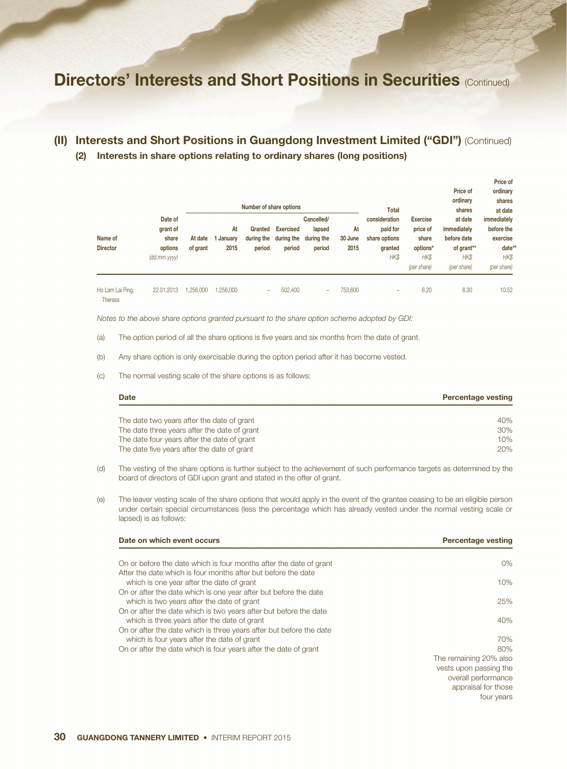## (II) Interests and Short Positions in Guangdong Investment Limited ("GDI") (Continued) (2) Interests in share options relating to ordinary shares (long positions)

|                             |                                                               |                     | Number of share options |                                 |                                          |                                              |                       | Total                                                         |                                                                         | Price of<br>ordinary<br>shares                                             | ordinary<br>shares<br>at date                                         |
|-----------------------------|---------------------------------------------------------------|---------------------|-------------------------|---------------------------------|------------------------------------------|----------------------------------------------|-----------------------|---------------------------------------------------------------|-------------------------------------------------------------------------|----------------------------------------------------------------------------|-----------------------------------------------------------------------|
| Name of<br><b>Director</b>  | Date of<br>grant of<br>share<br>options<br>$(dd.mm.$ yyyy $)$ | At date<br>of grant | At<br>January<br>2015   | Granted<br>during the<br>period | <b>Exercised</b><br>during the<br>period | Cancelled/<br>lapsed<br>during the<br>period | At<br>30 June<br>2015 | consideration<br>paid for<br>share options<br>granted<br>HK\$ | <b>Exercise</b><br>price of<br>share<br>options*<br>HK\$<br>(per share) | at date<br>immediately<br>before date<br>of grant**<br>HK\$<br>(per share) | immediately<br>before the<br>exercise<br>date*<br>HK\$<br>(per share) |
| Ho Lam Lai Ping,<br>Theresa | 22.01.2013                                                    | .256.000            | .256.000                | -                               | 502,400                                  | ۰                                            | 753,600               | $\overline{\phantom{a}}$                                      | 6.20                                                                    | 6.30                                                                       | 10.52                                                                 |

Price of

*Notes to the above share options granted pursuant to the share option scheme adopted by GDI:*

- (a) The option period of all the share options is five years and six months from the date of grant.
- (b) Any share option is only exercisable during the option period after it has become vested.
- (c) The normal vesting scale of the share options is as follows:

| <b>Date</b>                                  | <b>Percentage vesting</b> |
|----------------------------------------------|---------------------------|
| The date two years after the date of grant   | 40%                       |
| The date three years after the date of grant | 30%                       |
| The date four years after the date of grant  | 10%                       |
| The date five years after the date of grant  | 20%                       |

(d) The vesting of the share options is further subject to the achievement of such performance targets as determined by the board of directors of GDI upon grant and stated in the offer of grant.

(e) The leaver vesting scale of the share options that would apply in the event of the grantee ceasing to be an eligible person under certain special circumstances (less the percentage which has already vested under the normal vesting scale or lapsed) is as follows:

| Date on which event occurs                                          | <b>Percentage vesting</b> |
|---------------------------------------------------------------------|---------------------------|
| On or before the date which is four months after the date of grant  | $0\%$                     |
| After the date which is four months after but before the date       |                           |
| which is one year after the date of grant                           | 10%                       |
| On or after the date which is one year after but before the date    |                           |
| which is two years after the date of grant                          | 25%                       |
| On or after the date which is two years after but before the date   |                           |
| which is three years after the date of grant                        | 40%                       |
| On or after the date which is three years after but before the date |                           |
| which is four years after the date of grant                         | 70%                       |
| On or after the date which is four years after the date of grant    | 80%                       |
|                                                                     | The remaining 20% also    |
|                                                                     | vests upon passing the    |
|                                                                     | overall performance       |
|                                                                     | appraisal for those       |
|                                                                     | four years                |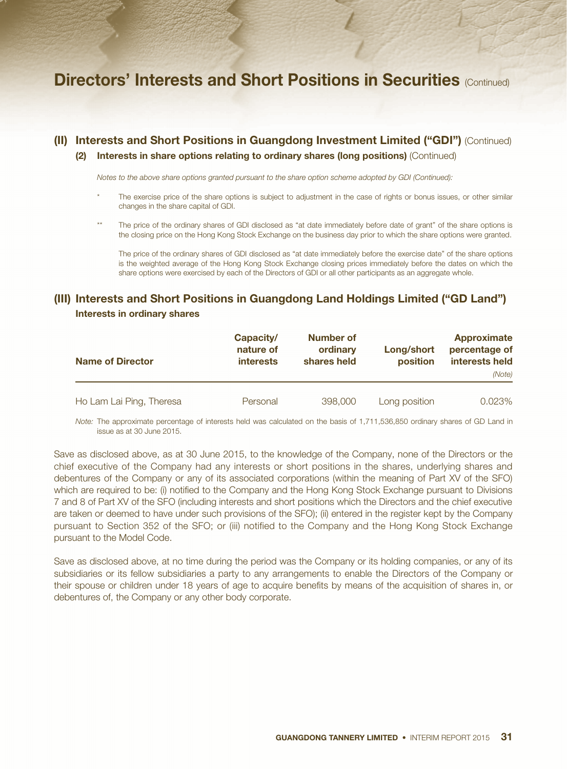## (II) Interests and Short Positions in Guangdong Investment Limited ("GDI") (Continued) (2) Interests in share options relating to ordinary shares (long positions) (Continued)

*Notes to the above share options granted pursuant to the share option scheme adopted by GDI (Continued):*

- The exercise price of the share options is subject to adjustment in the case of rights or bonus issues, or other similar changes in the share capital of GDI.
- The price of the ordinary shares of GDI disclosed as "at date immediately before date of grant" of the share options is the closing price on the Hong Kong Stock Exchange on the business day prior to which the share options were granted.

The price of the ordinary shares of GDI disclosed as "at date immediately before the exercise date" of the share options is the weighted average of the Hong Kong Stock Exchange closing prices immediately before the dates on which the share options were exercised by each of the Directors of GDI or all other participants as an aggregate whole.

### (III) Interests and Short Positions in Guangdong Land Holdings Limited ("GD Land") Interests in ordinary shares

| <b>Name of Director</b>  | Capacity/<br>nature of<br><b>interests</b> | Number of<br>ordinary<br>shares held | Long/short<br><b>position</b> | Approximate<br>percentage of<br>interests held<br>(Note) |
|--------------------------|--------------------------------------------|--------------------------------------|-------------------------------|----------------------------------------------------------|
| Ho Lam Lai Ping, Theresa | Personal                                   | 398,000                              | Long position                 | 0.023%                                                   |

*Note:* The approximate percentage of interests held was calculated on the basis of 1,711,536,850 ordinary shares of GD Land in issue as at 30 June 2015.

Save as disclosed above, as at 30 June 2015, to the knowledge of the Company, none of the Directors or the chief executive of the Company had any interests or short positions in the shares, underlying shares and debentures of the Company or any of its associated corporations (within the meaning of Part XV of the SFO) which are required to be: (i) notified to the Company and the Hong Kong Stock Exchange pursuant to Divisions 7 and 8 of Part XV of the SFO (including interests and short positions which the Directors and the chief executive are taken or deemed to have under such provisions of the SFO); (ii) entered in the register kept by the Company pursuant to Section 352 of the SFO; or (iii) notified to the Company and the Hong Kong Stock Exchange pursuant to the Model Code.

Save as disclosed above, at no time during the period was the Company or its holding companies, or any of its subsidiaries or its fellow subsidiaries a party to any arrangements to enable the Directors of the Company or their spouse or children under 18 years of age to acquire benefits by means of the acquisition of shares in, or debentures of, the Company or any other body corporate.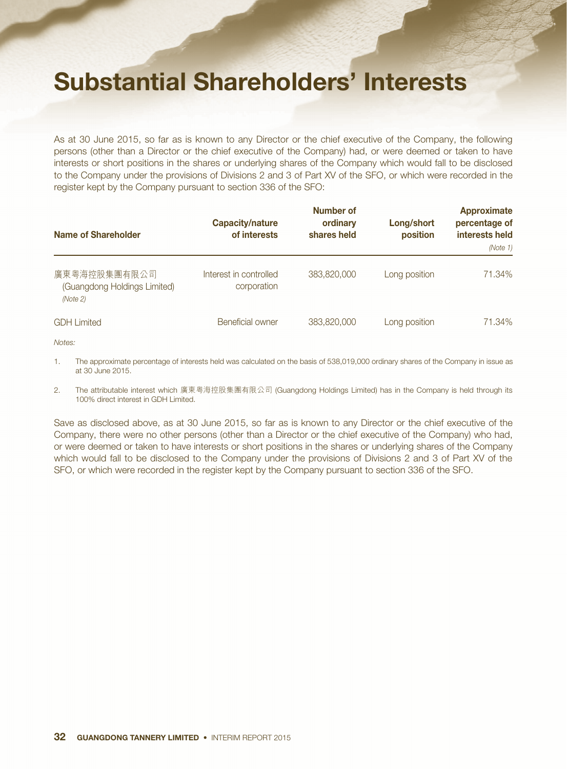# Substantial Shareholders' Interests

As at 30 June 2015, so far as is known to any Director or the chief executive of the Company, the following persons (other than a Director or the chief executive of the Company) had, or were deemed or taken to have interests or short positions in the shares or underlying shares of the Company which would fall to be disclosed to the Company under the provisions of Divisions 2 and 3 of Part XV of the SFO, or which were recorded in the register kept by the Company pursuant to section 336 of the SFO:

| <b>Name of Shareholder</b>                               | Capacity/nature<br>of interests       | Number of<br>ordinary<br>shares held | Long/short<br>position | <b>Approximate</b><br>percentage of<br>interests held<br>(Note 1) |
|----------------------------------------------------------|---------------------------------------|--------------------------------------|------------------------|-------------------------------------------------------------------|
| 廣東粵海控股集團有限公司<br>(Guangdong Holdings Limited)<br>(Note 2) | Interest in controlled<br>corporation | 383,820,000                          | Long position          | 71.34%                                                            |
| <b>GDH Limited</b>                                       | Beneficial owner                      | 383,820,000                          | Long position          | 71.34%                                                            |

*Notes:*

1. The approximate percentage of interests held was calculated on the basis of 538,019,000 ordinary shares of the Company in issue as at 30 June 2015.

2. The attributable interest which 廣東粵海控股集團有限公司 (Guangdong Holdings Limited) has in the Company is held through its 100% direct interest in GDH Limited.

Save as disclosed above, as at 30 June 2015, so far as is known to any Director or the chief executive of the Company, there were no other persons (other than a Director or the chief executive of the Company) who had, or were deemed or taken to have interests or short positions in the shares or underlying shares of the Company which would fall to be disclosed to the Company under the provisions of Divisions 2 and 3 of Part XV of the SFO, or which were recorded in the register kept by the Company pursuant to section 336 of the SFO.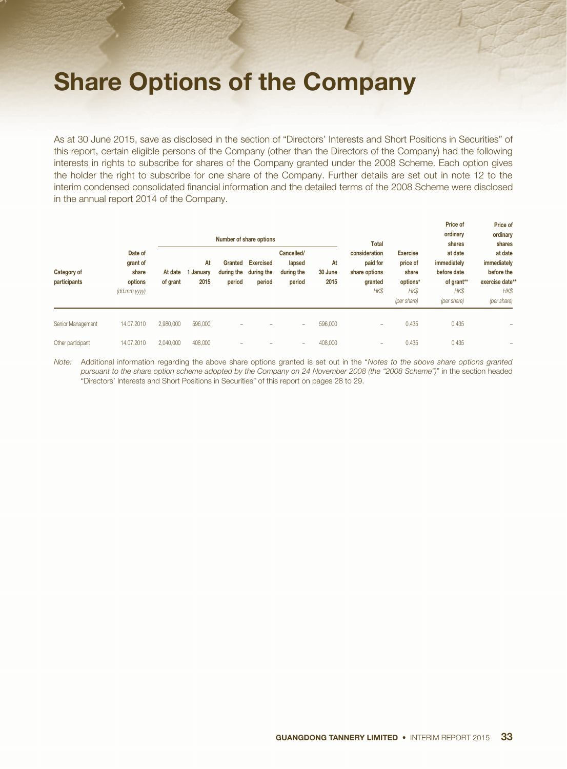# Share Options of the Company

As at 30 June 2015, save as disclosed in the section of "Directors' Interests and Short Positions in Securities" of this report, certain eligible persons of the Company (other than the Directors of the Company) had the following interests in rights to subscribe for shares of the Company granted under the 2008 Scheme. Each option gives the holder the right to subscribe for one share of the Company. Further details are set out in note 12 to the interim condensed consolidated financial information and the detailed terms of the 2008 Scheme were disclosed in the annual report 2014 of the Company.

| Category of<br>participants |                                                                        | Number of share options |                       |                   |                                                     |                                              |                       | <b>Total</b>                                                  |                                                                               | Price of<br>ordinary<br>shares                                             | Price of<br>ordinary<br>shares                                                 |
|-----------------------------|------------------------------------------------------------------------|-------------------------|-----------------------|-------------------|-----------------------------------------------------|----------------------------------------------|-----------------------|---------------------------------------------------------------|-------------------------------------------------------------------------------|----------------------------------------------------------------------------|--------------------------------------------------------------------------------|
|                             | Date of<br>grant of<br>share<br>options<br>$\left(\frac{dd}{}$ mm.yyyy | At date<br>of grant     | At<br>January<br>2015 | Granted<br>period | <b>Exercised</b><br>during the during the<br>period | Cancelled/<br>lapsed<br>during the<br>period | At<br>30 June<br>2015 | consideration<br>paid for<br>share options<br>granted<br>HK\$ | <b>Exercise</b><br>price of<br>share<br>options*<br><b>HKS</b><br>(per share) | at date<br>immediately<br>before date<br>of grant**<br>HK\$<br>(per share) | at date<br>immediately<br>before the<br>exercise date**<br>HK\$<br>(per share) |
| Senior Management           | 14.07.2010                                                             | 2,980,000               | 596,000               | -                 |                                                     | $\overline{\phantom{a}}$                     | 596,000               | $\overline{\phantom{a}}$                                      | 0.435                                                                         | 0.435                                                                      |                                                                                |
| Other participant           | 14.07.2010                                                             | 2.040.000               | 408,000               | -                 |                                                     | $\overline{\phantom{a}}$                     | 408,000               | $\overline{\phantom{a}}$                                      | 0.435                                                                         | 0.435                                                                      |                                                                                |

*Note:* Additional information regarding the above share options granted is set out in the "*Notes to the above share options granted pursuant to the share option scheme adopted by the Company on 24 November 2008 (the "2008 Scheme")*" in the section headed "Directors' Interests and Short Positions in Securities" of this report on pages 28 to 29.